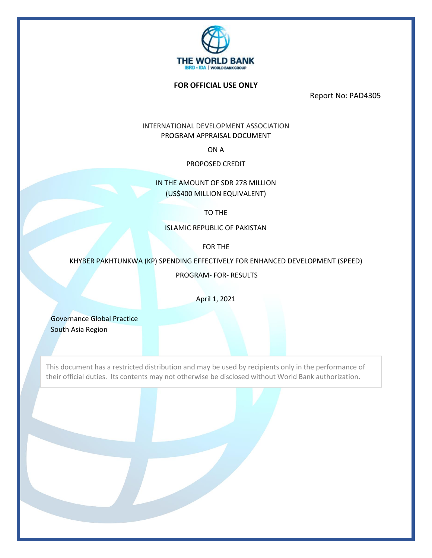

#### **FOR OFFICIAL USE ONLY**

Report No: PAD4305

INTERNATIONAL DEVELOPMENT ASSOCIATION PROGRAM APPRAISAL DOCUMENT

ON A

PROPOSED CREDIT

IN THE AMOUNT OF SDR 278 MILLION (US\$400 MILLION EQUIVALENT)

TO THE

ISLAMIC REPUBLIC OF PAKISTAN

FOR THE

KHYBER PAKHTUNKWA (KP) SPENDING EFFECTIVELY FOR ENHANCED DEVELOPMENT (SPEED)

PROGRAM- FOR- RESULTS

April 1, 2021

Governance Global Practice South Asia Region

This document has a restricted distribution and may be used by recipients only in the performance of their official duties. Its contents may not otherwise be disclosed without World Bank authorization.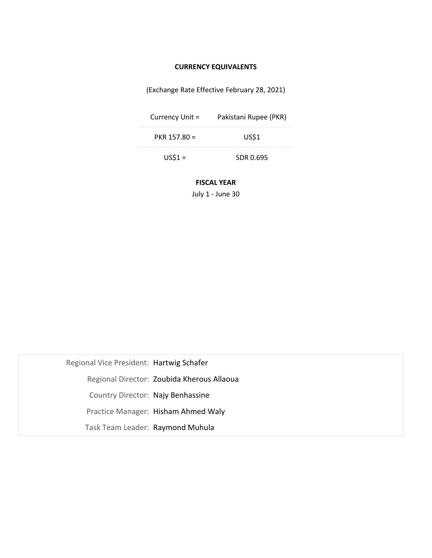# **CURRENCY EQUIVALENTS**

(Exchange Rate Effective February 28, 2021)

| Currency Unit = | Pakistani Rupee (PKR) |  |  |
|-----------------|-----------------------|--|--|
| $PKR$ 157.80 =  | US\$1                 |  |  |
| $USS1 =$        | SDR 0.695             |  |  |

**FISCAL YEAR**

July 1 - June 30

| Regional Vice President: Hartwig Schafer |                                            |
|------------------------------------------|--------------------------------------------|
|                                          | Regional Director: Zoubida Kherous Allaoua |
| Country Director: Najy Benhassine        |                                            |
|                                          | Practice Manager: Hisham Ahmed Waly        |
| Task Team Leader: Raymond Muhula         |                                            |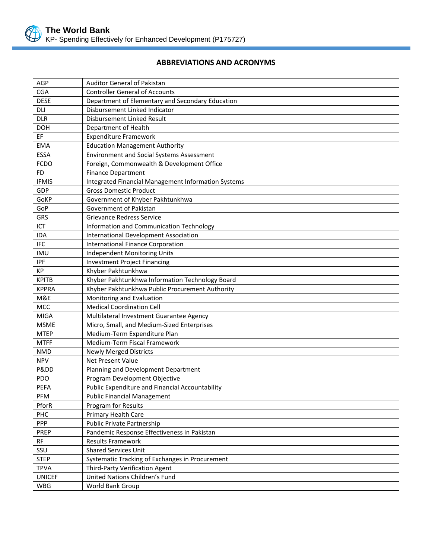

# **ABBREVIATIONS AND ACRONYMS**

| AGP           | <b>Auditor General of Pakistan</b>                  |
|---------------|-----------------------------------------------------|
| <b>CGA</b>    | <b>Controller General of Accounts</b>               |
| <b>DESE</b>   | Department of Elementary and Secondary Education    |
| <b>DLI</b>    | Disbursement Linked Indicator                       |
| <b>DLR</b>    | Disbursement Linked Result                          |
| <b>DOH</b>    | Department of Health                                |
| EF            | <b>Expenditure Framework</b>                        |
| <b>EMA</b>    | <b>Education Management Authority</b>               |
| ESSA          | <b>Environment and Social Systems Assessment</b>    |
| <b>FCDO</b>   | Foreign, Commonwealth & Development Office          |
| <b>FD</b>     | <b>Finance Department</b>                           |
| <b>IFMIS</b>  | Integrated Financial Management Information Systems |
| GDP           | <b>Gross Domestic Product</b>                       |
| GoKP          | Government of Khyber Pakhtunkhwa                    |
| GoP           | Government of Pakistan                              |
| <b>GRS</b>    | <b>Grievance Redress Service</b>                    |
| ICT           | Information and Communication Technology            |
| <b>IDA</b>    | <b>International Development Association</b>        |
| <b>IFC</b>    | <b>International Finance Corporation</b>            |
| <b>IMU</b>    | <b>Independent Monitoring Units</b>                 |
| <b>IPF</b>    | <b>Investment Project Financing</b>                 |
| KP            | Khyber Pakhtunkhwa                                  |
| <b>KPITB</b>  | Khyber Pakhtunkhwa Information Technology Board     |
| <b>KPPRA</b>  | Khyber Pakhtunkhwa Public Procurement Authority     |
| M&E           | Monitoring and Evaluation                           |
| MCC           | <b>Medical Coordination Cell</b>                    |
| <b>MIGA</b>   | Multilateral Investment Guarantee Agency            |
| <b>MSME</b>   | Micro, Small, and Medium-Sized Enterprises          |
| <b>MTEP</b>   | Medium-Term Expenditure Plan                        |
| <b>MTFF</b>   | Medium-Term Fiscal Framework                        |
| <b>NMD</b>    | <b>Newly Merged Districts</b>                       |
| <b>NPV</b>    | Net Present Value                                   |
| Pⅅ            | Planning and Development Department                 |
| PDO           | Program Development Objective                       |
| PEFA          | Public Expenditure and Financial Accountability     |
| <b>PFM</b>    | <b>Public Financial Management</b>                  |
| PforR         | Program for Results                                 |
| PHC           | Primary Health Care                                 |
| PPP           | Public Private Partnership                          |
| PREP          | Pandemic Response Effectiveness in Pakistan         |
| <b>RF</b>     | <b>Results Framework</b>                            |
| SSU           | <b>Shared Services Unit</b>                         |
| <b>STEP</b>   | Systematic Tracking of Exchanges in Procurement     |
| <b>TPVA</b>   | Third-Party Verification Agent                      |
| <b>UNICEF</b> | United Nations Children's Fund                      |
| <b>WBG</b>    | World Bank Group                                    |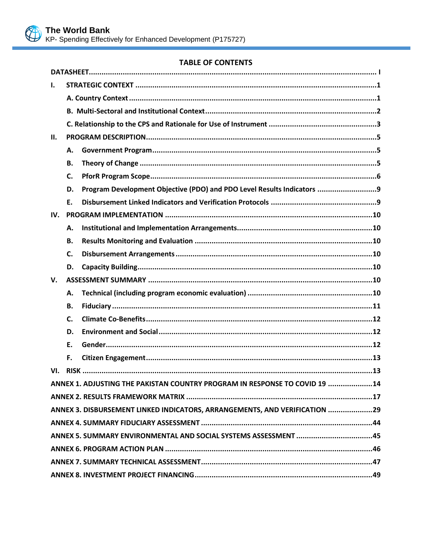

# **TABLE OF CONTENTS**

| ı.  |           |                                                                            |
|-----|-----------|----------------------------------------------------------------------------|
|     |           |                                                                            |
|     |           |                                                                            |
|     |           |                                                                            |
| II. |           |                                                                            |
|     | А.        |                                                                            |
|     | <b>B.</b> |                                                                            |
|     | C.        |                                                                            |
|     | D.        | Program Development Objective (PDO) and PDO Level Results Indicators 9     |
|     | Ε.        |                                                                            |
| IV. |           |                                                                            |
|     | А.        |                                                                            |
|     | В.        |                                                                            |
|     | C.        |                                                                            |
|     | D.        |                                                                            |
| V.  |           |                                                                            |
|     | А.        |                                                                            |
|     | <b>B.</b> |                                                                            |
|     | C.        |                                                                            |
|     | D.        |                                                                            |
|     | Ε.        |                                                                            |
|     | F.        |                                                                            |
| VI. |           |                                                                            |
|     |           | ANNEX 1. ADJUSTING THE PAKISTAN COUNTRY PROGRAM IN RESPONSE TO COVID 19 14 |
|     |           |                                                                            |
|     |           | ANNEX 3. DISBURSEMENT LINKED INDICATORS, ARRANGEMENTS, AND VERIFICATION 29 |
|     |           |                                                                            |
|     |           | ANNEX 5. SUMMARY ENVIRONMENTAL AND SOCIAL SYSTEMS ASSESSMENT 45            |
|     |           |                                                                            |
|     |           |                                                                            |
|     |           |                                                                            |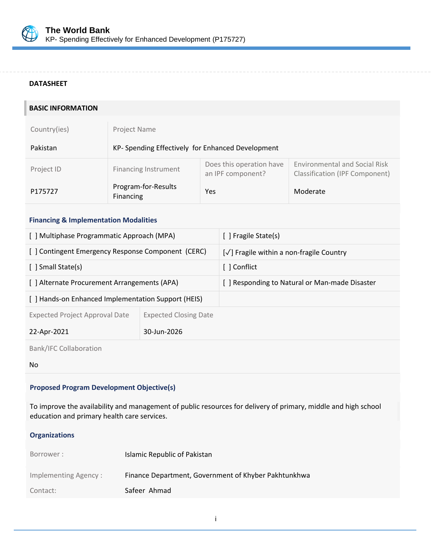

#### <span id="page-4-0"></span>**DATASHEET**

| <b>BASIC INFORMATION</b>                            |                              |                             |                                          |                                                   |                                                                               |  |
|-----------------------------------------------------|------------------------------|-----------------------------|------------------------------------------|---------------------------------------------------|-------------------------------------------------------------------------------|--|
| Country(ies)                                        | <b>Project Name</b>          |                             |                                          |                                                   |                                                                               |  |
| Pakistan                                            |                              |                             |                                          | KP- Spending Effectively for Enhanced Development |                                                                               |  |
| Project ID                                          |                              | <b>Financing Instrument</b> |                                          | Does this operation have<br>an IPF component?     | <b>Environmental and Social Risk</b><br><b>Classification (IPF Component)</b> |  |
| P175727                                             | Financing                    | Program-for-Results<br>Yes  |                                          |                                                   | Moderate                                                                      |  |
| <b>Financing &amp; Implementation Modalities</b>    |                              |                             |                                          |                                                   |                                                                               |  |
| [ ] Multiphase Programmatic Approach (MPA)          |                              |                             |                                          | [ ] Fragile State(s)                              |                                                                               |  |
| [ ] Contingent Emergency Response Component (CERC)  |                              |                             | [√] Fragile within a non-fragile Country |                                                   |                                                                               |  |
| [ ] Small State(s)                                  |                              |                             |                                          | [ ] Conflict                                      |                                                                               |  |
| [ ] Alternate Procurement Arrangements (APA)        |                              |                             |                                          | [ ] Responding to Natural or Man-made Disaster    |                                                                               |  |
| [ ] Hands-on Enhanced Implementation Support (HEIS) |                              |                             |                                          |                                                   |                                                                               |  |
| <b>Expected Project Approval Date</b>               | <b>Expected Closing Date</b> |                             |                                          |                                                   |                                                                               |  |
| 22-Apr-2021                                         | 30-Jun-2026                  |                             |                                          |                                                   |                                                                               |  |
| <b>Bank/IFC Collaboration</b>                       |                              |                             |                                          |                                                   |                                                                               |  |
| No                                                  |                              |                             |                                          |                                                   |                                                                               |  |

## **Proposed Program Development Objective(s)**

To improve the availability and management of public resources for delivery of primary, middle and high school education and primary health care services.

#### **Organizations**

| Borrower:            | Islamic Republic of Pakistan                         |
|----------------------|------------------------------------------------------|
| Implementing Agency: | Finance Department, Government of Khyber Pakhtunkhwa |
| Contact:             | Safeer Ahmad                                         |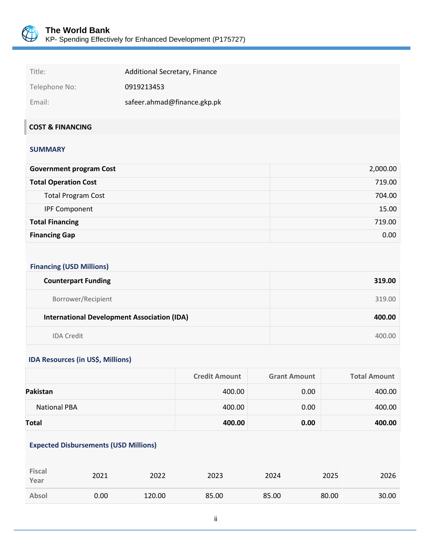

| Title:        | Additional Secretary, Finance |
|---------------|-------------------------------|
| Telephone No: | 0919213453                    |
| Email:        | safeer.ahmad@finance.gkp.pk   |

# **COST & FINANCING**

#### **SUMMARY**

| <b>Government program Cost</b> | 2,000.00 |
|--------------------------------|----------|
| <b>Total Operation Cost</b>    | 719.00   |
| <b>Total Program Cost</b>      | 704.00   |
| <b>IPF Component</b>           | 15.00    |
| <b>Total Financing</b>         | 719.00   |
| <b>Financing Gap</b>           | 0.00     |

# **Financing (USD Millions)**

| <b>Counterpart Funding</b>                         | 319.00 |
|----------------------------------------------------|--------|
| Borrower/Recipient                                 | 319.00 |
|                                                    |        |
| <b>International Development Association (IDA)</b> | 400.00 |

#### **IDA Resources (in US\$, Millions)**

|                     | <b>Credit Amount</b> | <b>Grant Amount</b> | <b>Total Amount</b> |
|---------------------|----------------------|---------------------|---------------------|
| Pakistan            | 400.00               | 0.00                | 400.00              |
| <b>National PBA</b> | 400.00               | 0.00                | 400.00              |
| Total               | 400.00               | 0.00                | 400.00              |

#### **Expected Disbursements (USD Millions)**

| <b>Fiscal</b><br>Year | 2021 | 2022   | 2023  | 2024  | 2025  | 2026  |
|-----------------------|------|--------|-------|-------|-------|-------|
| Absol                 | 0.00 | 120.00 | 85.00 | 85.00 | 80.00 | 30.00 |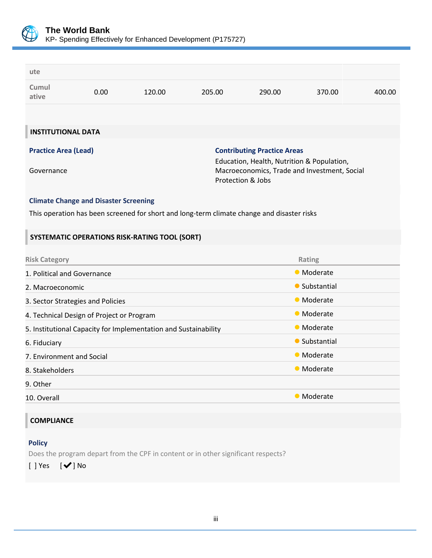

| ute                                                                                                  |      |                                                                                            |        |        |                                                                                            |        |  |
|------------------------------------------------------------------------------------------------------|------|--------------------------------------------------------------------------------------------|--------|--------|--------------------------------------------------------------------------------------------|--------|--|
| Cumul<br>ative                                                                                       | 0.00 | 120.00                                                                                     | 205.00 | 290.00 | 370.00                                                                                     | 400.00 |  |
|                                                                                                      |      |                                                                                            |        |        |                                                                                            |        |  |
| <b>INSTITUTIONAL DATA</b>                                                                            |      |                                                                                            |        |        |                                                                                            |        |  |
| <b>Practice Area (Lead)</b><br><b>Contributing Practice Areas</b><br>Governance<br>Protection & Jobs |      |                                                                                            |        |        | Education, Health, Nutrition & Population,<br>Macroeconomics, Trade and Investment, Social |        |  |
| <b>Climate Change and Disaster Screening</b>                                                         |      |                                                                                            |        |        |                                                                                            |        |  |
|                                                                                                      |      | This operation has been screened for short and long-term climate change and disaster risks |        |        |                                                                                            |        |  |
|                                                                                                      |      | SYSTEMATIC OPERATIONS RISK-RATING TOOL (SORT)                                              |        |        |                                                                                            |        |  |
|                                                                                                      |      |                                                                                            |        |        |                                                                                            |        |  |
| <b>Risk Category</b>                                                                                 |      |                                                                                            |        |        | Rating                                                                                     |        |  |
| 1. Political and Governance                                                                          |      |                                                                                            |        |        | • Moderate                                                                                 |        |  |
| 2. Macroeconomic                                                                                     |      |                                                                                            |        |        | • Substantial                                                                              |        |  |
| 3. Sector Strategies and Policies                                                                    |      |                                                                                            |        |        | • Moderate                                                                                 |        |  |
| 4. Technical Design of Project or Program                                                            |      |                                                                                            |        |        | • Moderate                                                                                 |        |  |
| 5. Institutional Capacity for Implementation and Sustainability                                      |      |                                                                                            |        |        | • Moderate                                                                                 |        |  |
| 6. Fiduciary                                                                                         |      |                                                                                            |        |        | • Substantial                                                                              |        |  |
| 7. Environment and Social                                                                            |      |                                                                                            |        |        | • Moderate                                                                                 |        |  |
| 8. Stakeholders                                                                                      |      |                                                                                            |        |        | • Moderate                                                                                 |        |  |
| 9. Other                                                                                             |      |                                                                                            |        |        |                                                                                            |        |  |
| 10. Overall                                                                                          |      |                                                                                            |        |        | • Moderate                                                                                 |        |  |
|                                                                                                      |      |                                                                                            |        |        |                                                                                            |        |  |

# **Policy**

Does the program depart from the CPF in content or in other significant respects?

[ ] Yes [✔] No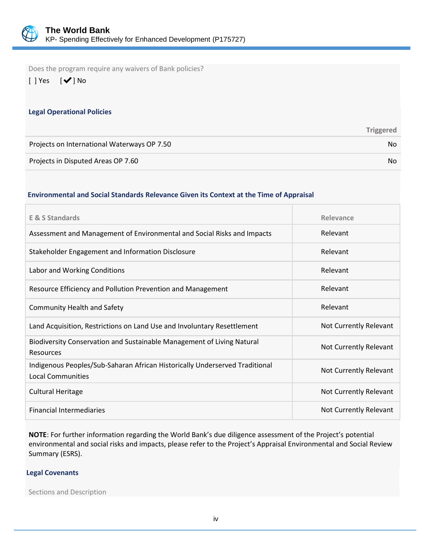

Does the program require any waivers of Bank policies?

[ ] Yes [✔] No

#### **Legal Operational Policies**

|                                             | <b>Triggered</b> |
|---------------------------------------------|------------------|
| Projects on International Waterways OP 7.50 | No.              |
| Projects in Disputed Areas OP 7.60          | No.              |

#### **Environmental and Social Standards Relevance Given its Context at the Time of Appraisal**

| <b>E &amp; S Standards</b>                                                                              | Relevance              |
|---------------------------------------------------------------------------------------------------------|------------------------|
| Assessment and Management of Environmental and Social Risks and Impacts                                 | Relevant               |
| Stakeholder Engagement and Information Disclosure                                                       | Relevant               |
| Labor and Working Conditions                                                                            | Relevant               |
| Resource Efficiency and Pollution Prevention and Management                                             | Relevant               |
| <b>Community Health and Safety</b>                                                                      | Relevant               |
| Land Acquisition, Restrictions on Land Use and Involuntary Resettlement                                 | Not Currently Relevant |
| Biodiversity Conservation and Sustainable Management of Living Natural<br>Resources                     | Not Currently Relevant |
| Indigenous Peoples/Sub-Saharan African Historically Underserved Traditional<br><b>Local Communities</b> | Not Currently Relevant |
| <b>Cultural Heritage</b>                                                                                | Not Currently Relevant |
| <b>Financial Intermediaries</b>                                                                         | Not Currently Relevant |

**NOTE**: For further information regarding the World Bank's due diligence assessment of the Project's potential environmental and social risks and impacts, please refer to the Project's Appraisal Environmental and Social Review Summary (ESRS).

#### **Legal Covenants**

Sections and Description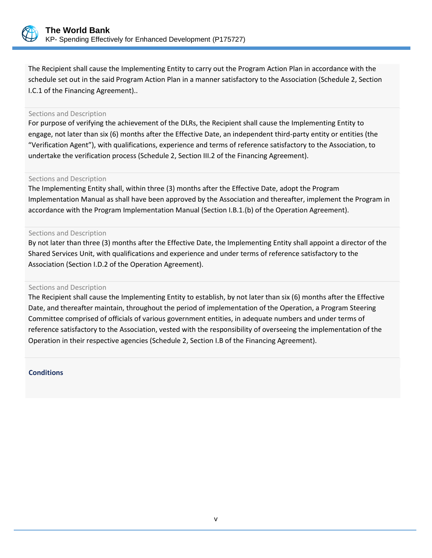

The Recipient shall cause the Implementing Entity to carry out the Program Action Plan in accordance with the schedule set out in the said Program Action Plan in a manner satisfactory to the Association (Schedule 2, Section I.C.1 of the Financing Agreement)..

#### Sections and Description

For purpose of verifying the achievement of the DLRs, the Recipient shall cause the Implementing Entity to engage, not later than six (6) months after the Effective Date, an independent third-party entity or entities (the "Verification Agent"), with qualifications, experience and terms of reference satisfactory to the Association, to undertake the verification process (Schedule 2, Section III.2 of the Financing Agreement).

#### Sections and Description

The Implementing Entity shall, within three (3) months after the Effective Date, adopt the Program Implementation Manual as shall have been approved by the Association and thereafter, implement the Program in accordance with the Program Implementation Manual (Section I.B.1.(b) of the Operation Agreement).

#### Sections and Description

By not later than three (3) months after the Effective Date, the Implementing Entity shall appoint a director of the Shared Services Unit, with qualifications and experience and under terms of reference satisfactory to the Association (Section I.D.2 of the Operation Agreement).

#### Sections and Description

The Recipient shall cause the Implementing Entity to establish, by not later than six (6) months after the Effective Date, and thereafter maintain, throughout the period of implementation of the Operation, a Program Steering Committee comprised of officials of various government entities, in adequate numbers and under terms of reference satisfactory to the Association, vested with the responsibility of overseeing the implementation of the Operation in their respective agencies (Schedule 2, Section I.B of the Financing Agreement).

#### **Conditions**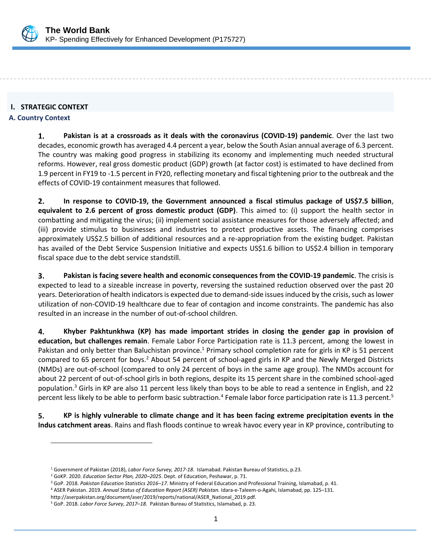

#### <span id="page-9-0"></span>**I. STRATEGIC CONTEXT**

#### <span id="page-9-1"></span>**A. Country Context**

1. **Pakistan is at a crossroads as it deals with the coronavirus (COVID-19) pandemic**. Over the last two decades, economic growth has averaged 4.4 percent a year, below the South Asian annual average of 6.3 percent. The country was making good progress in stabilizing its economy and implementing much needed structural reforms. However, real gross domestic product (GDP) growth (at factor cost) is estimated to have declined from 1.9 percent in FY19 to -1.5 percent in FY20, reflecting monetary and fiscal tightening prior to the outbreak and the effects of COVID-19 containment measures that followed.

 $2.$ **In response to COVID-19, the Government announced a fiscal stimulus package of US\$7.5 billion**, **equivalent to 2.6 percent of gross domestic product (GDP)**. This aimed to: (i) support the health sector in combatting and mitigating the virus; (ii) implement social assistance measures for those adversely affected; and (iii) provide stimulus to businesses and industries to protect productive assets. The financing comprises approximately US\$2.5 billion of additional resources and a re-appropriation from the existing budget. Pakistan has availed of the Debt Service Suspension Initiative and expects US\$1.6 billion to US\$2.4 billion in temporary fiscal space due to the debt service standstill.

3. **Pakistan is facing severe health and economic consequences from the COVID-19 pandemic**. The crisis is expected to lead to a sizeable increase in poverty, reversing the sustained reduction observed over the past 20 years. Deterioration of health indicators is expected due to demand-side issues induced by the crisis, such as lower utilization of non-COVID-19 healthcare due to fear of contagion and income constraints. The pandemic has also resulted in an increase in the number of out-of-school children.

**Khyber Pakhtunkhwa (KP) has made important strides in closing the gender gap in provision of**  4. **education, but challenges remain**. Female Labor Force Participation rate is 11.3 percent, among the lowest in Pakistan and only better than Baluchistan province.<sup>1</sup> Primary school completion rate for girls in KP is 51 percent compared to 65 percent for boys.<sup>2</sup> About 54 percent of school-aged girls in KP and the Newly Merged Districts (NMDs) are out-of-school (compared to only 24 percent of boys in the same age group). The NMDs account for about 22 percent of out-of-school girls in both regions, despite its 15 percent share in the combined school-aged population.<sup>3</sup> Girls in KP are also 11 percent less likely than boys to be able to read a sentence in English, and 22 percent less likely to be able to perform basic subtraction.<sup>4</sup> Female labor force participation rate is 11.3 percent.<sup>5</sup>

5. **KP is highly vulnerable to climate change and it has been facing extreme precipitation events in the Indus catchment areas**. Rains and flash floods continue to wreak havoc every year in KP province, contributing to

<sup>1</sup> Government of Pakistan (2018), *Labor Force Survey, 2017-18*. Islamabad. Pakistan Bureau of Statistics, p.23.

<sup>2</sup> GoKP. 2020. *Education Sector Plan, 2020–2025*. Dept. of Education, Peshawar, p. 71.

<sup>3</sup> GoP. 2018. *Pakistan Education Statistics 2016–17*. Ministry of Federal Education and Professional Training, Islamabad, p. 41.

<sup>4</sup> ASER Pakistan. 2019. *Annual Status of Education Report (ASER) Pakistan.* Idara-e-Taleem-o-Agahi, Islamabad, pp. 125–131.

[http://aserpakistan.org/document/aser/2019/reports/national/ASER\\_National\\_2019.pdf](http://aserpakistan.org/document/aser/2019/reports/national/ASER_National_2019.pdf)*.*

<sup>5</sup> GoP. 2018. *Labor Force Survey, 2017–18*. Pakistan Bureau of Statistics, Islamabad, p. 23.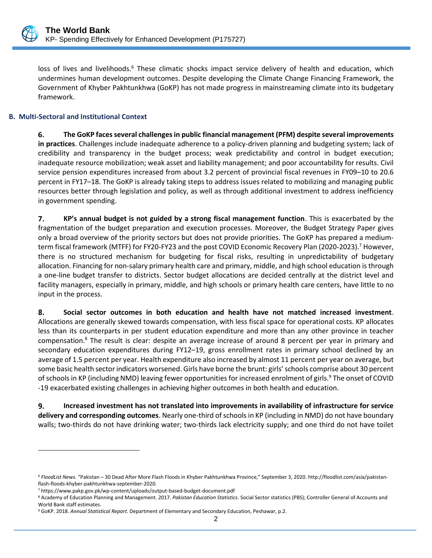

loss of lives and livelihoods.<sup>6</sup> These climatic shocks impact service delivery of health and education, which undermines human development outcomes. Despite developing the Climate Change Financing Framework, the Government of Khyber Pakhtunkhwa (GoKP) has not made progress in mainstreaming climate into its budgetary framework.

#### <span id="page-10-0"></span>**B. Multi-Sectoral and Institutional Context**

6. **The GoKP faces several challenges in public financial management (PFM) despite several improvements in practices**. Challenges include inadequate adherence to a policy-driven planning and budgeting system; lack of credibility and transparency in the budget process; weak predictability and control in budget execution; inadequate resource mobilization; weak asset and liability management; and poor accountability for results. Civil service pension expenditures increased from about 3.2 percent of provincial fiscal revenues in FY09–10 to 20.6 percent in FY17–18. The GoKP is already taking steps to address issues related to mobilizing and managing public resources better through legislation and policy, as well as through additional investment to address inefficiency in government spending.

 $7.$ **KP's annual budget is not guided by a strong fiscal management function**. This is exacerbated by the fragmentation of the budget preparation and execution processes. Moreover, the Budget Strategy Paper gives only a broad overview of the priority sectors but does not provide priorities. The GoKP has prepared a mediumterm fiscal framework (MTFF) for FY20-FY23 and the post COVID Economic Recovery Plan (2020-2023).<sup>7</sup> However, there is no structured mechanism for budgeting for fiscal risks, resulting in unpredictability of budgetary allocation. Financing for non-salary primary health care and primary, middle, and high school education is through a one-line budget transfer to districts. Sector budget allocations are decided centrally at the district level and facility managers, especially in primary, middle, and high schools or primary health care centers, have little to no input in the process.

8. **Social sector outcomes in both education and health have not matched increased investment**. Allocations are generally skewed towards compensation, with less fiscal space for operational costs. KP allocates less than its counterparts in per student education expenditure and more than any other province in teacher compensation.<sup>8</sup> The result is clear: despite an average increase of around 8 percent per year in primary and secondary education expenditures during FY12–19, gross enrollment rates in primary school declined by an average of 1.5 percent per year. Health expenditure also increased by almost 11 percent per year on average, but some basic health sector indicators worsened. Girls have borne the brunt: girls' schools comprise about 30 percent of schools in KP (including NMD) leaving fewer opportunities for increased enrolment of girls.<sup>9</sup> The onset of COVID -19 exacerbated existing challenges in achieving higher outcomes in both health and education.

9. **Increased investment has not translated into improvements in availability of infrastructure for service delivery and corresponding outcomes**. Nearly one-third of schools in KP (including in NMD) do not have boundary walls; two-thirds do not have drinking water; two-thirds lack electricity supply; and one third do not have toilet

<sup>6</sup> *FloodList News.* "Pakistan – 30 Dead After More Flash Floods in Khyber Pakhtunkhwa Province," September 3, 2020[. http://floodlist.com/asia/pakistan](http://floodlist.com/asia/pakistan-flash-floods-khyber-pakhtunkhwa-september-2020)[flash-floods-khyber-pakhtunkhwa-september-2020](http://floodlist.com/asia/pakistan-flash-floods-khyber-pakhtunkhwa-september-2020)*.*

<sup>7</sup> https://www.pakp.gov.pk/wp-content/uploads/output-based-budget-document.pdf

<sup>8</sup> Academy of Education Planning and Management. 2017. *Pakistan Education Statistics*. Social Sector statistics (PBS); Controller General of Accounts and World Bank staff estimates.

<sup>9</sup> GoKP. 2018. *Annual Statistical Report.* Department of Elementary and Secondary Education, Peshawar, p.2.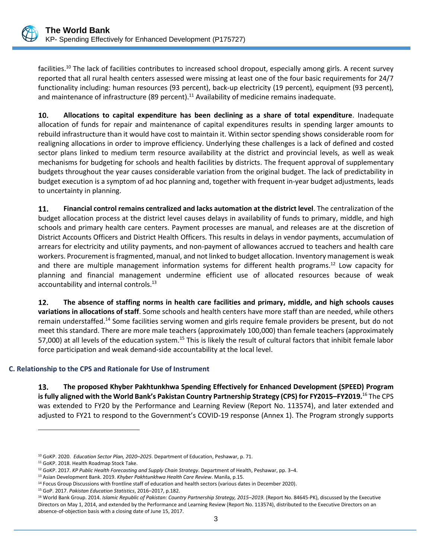

facilities.<sup>10</sup> The lack of facilities contributes to increased school dropout, especially among girls. A recent survey reported that all rural health centers assessed were missing at least one of the four basic requirements for 24/7 functionality including: human resources (93 percent), back-up electricity (19 percent), equipment (93 percent), and maintenance of infrastructure (89 percent).<sup>11</sup> Availability of medicine remains inadequate.

10. **Allocations to capital expenditure has been declining as a share of total expenditure**. Inadequate allocation of funds for repair and maintenance of capital expenditures results in spending larger amounts to rebuild infrastructure than it would have cost to maintain it. Within sector spending shows considerable room for realigning allocations in order to improve efficiency. Underlying these challenges is a lack of defined and costed sector plans linked to medium term resource availability at the district and provincial levels, as well as weak mechanisms for budgeting for schools and health facilities by districts. The frequent approval of supplementary budgets throughout the year causes considerable variation from the original budget. The lack of predictability in budget execution is a symptom of ad hoc planning and, together with frequent in-year budget adjustments, leads to uncertainty in planning.

11. **Financial control remains centralized and lacks automation at the district level**. The centralization of the budget allocation process at the district level causes delays in availability of funds to primary, middle, and high schools and primary health care centers. Payment processes are manual, and releases are at the discretion of District Accounts Officers and District Health Officers. This results in delays in vendor payments, accumulation of arrears for electricity and utility payments, and non-payment of allowances accrued to teachers and health care workers. Procurement is fragmented, manual, and not linked to budget allocation. Inventory management is weak and there are multiple management information systems for different health programs.<sup>12</sup> Low capacity for planning and financial management undermine efficient use of allocated resources because of weak accountability and internal controls.<sup>13</sup>

12. **The absence of staffing norms in health care facilities and primary, middle, and high schools causes variations in allocations of staff**. Some schools and health centers have more staff than are needed, while others remain understaffed.<sup>14</sup> Some facilities serving women and girls require female providers be present, but do not meet this standard. There are more male teachers (approximately 100,000) than female teachers (approximately 57,000) at all levels of the education system.<sup>15</sup> This is likely the result of cultural factors that inhibit female labor force participation and weak demand-side accountability at the local level.

## <span id="page-11-0"></span>**C. Relationship to the CPS and Rationale for Use of Instrument**

13. **The proposed Khyber Pakhtunkhwa Spending Effectively for Enhanced Development (SPEED) Program is fully aligned with the World Bank's Pakistan Country Partnership Strategy (CPS) for FY2015–FY2019.** <sup>16</sup> The CPS was extended to FY20 by the Performance and Learning Review (Report No. 113574), and later extended and adjusted to FY21 to respond to the Government's COVID-19 response (Annex 1). The Program strongly supports

<sup>10</sup> GoKP. 2020. *Education Sector Plan, 2020–2025*. Department of Education, Peshawar, p. 71.

<sup>&</sup>lt;sup>11</sup> GoKP. 2018. Health Roadmap Stock Take.

<sup>12</sup> GoKP. 2017. *KP Public Health Forecasting and Supply Chain Strategy*. Department of Health, Peshawar, pp. 3–4.

<sup>13</sup> Asian Development Bank. 2019. *Khyber Pakhtunkhwa Health Care Review*. Manila, p.15.

<sup>&</sup>lt;sup>14</sup> Focus Group Discussions with frontline staff of education and health sectors (various dates in December 2020).

<sup>15</sup> GoP. 2017. *Pakistan Education Statistics*, 2016–2017, p.182.

<sup>&</sup>lt;sup>16</sup> World Bank Group. 2014. Islamic Republic of Pakistan: Country Partnership Strategy, 2015-2019. (Report No. 84645-PK), discussed by the Executive Directors on May 1, 2014, and extended by the Performance and Learning Review (Report No. 113574), distributed to the Executive Directors on an absence-of-objection basis with a closing date of June 15, 2017.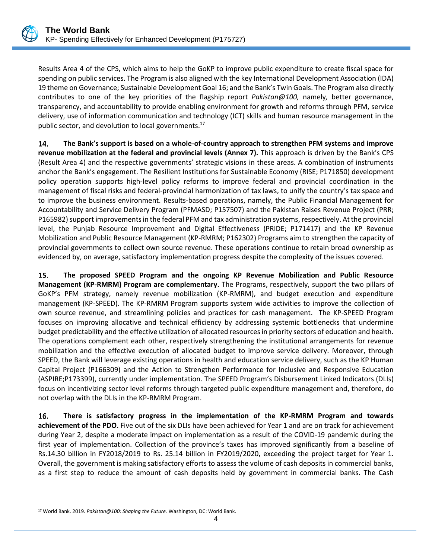

Results Area 4 of the CPS, which aims to help the GoKP to improve public expenditure to create fiscal space for spending on public services. The Program is also aligned with the key International Development Association (IDA) 19 theme on Governance; Sustainable Development Goal 16; and the Bank's Twin Goals. The Program also directly contributes to one of the key priorities of the flagship report *Pakistan@100,* namely*,* better governance, transparency, and accountability to provide enabling environment for growth and reforms through PFM, service delivery, use of information communication and technology (ICT) skills and human resource management in the public sector, and devolution to local governments.<sup>17</sup>

**The Bank's support is based on a whole-of-country approach to strengthen PFM systems and improve**  14. **revenue mobilization at the federal and provincial levels (Annex 7).** This approach is driven by the Bank's CPS (Result Area 4) and the respective governments' strategic visions in these areas. A combination of instruments anchor the Bank's engagement. The Resilient Institutions for Sustainable Economy (RISE; P171850) development policy operation supports high-level policy reforms to improve federal and provincial coordination in the management of fiscal risks and federal-provincial harmonization of tax laws, to unify the country's tax space and to improve the business environment. Results-based operations, namely, the Public Financial Management for Accountability and Service Delivery Program (PFMASD; P157507) and the Pakistan Raises Revenue Project (PRR; P165982) support improvements in the federal PFM and tax administration systems, respectively. At the provincial level, the Punjab Resource Improvement and Digital Effectiveness (PRIDE; P171417) and the KP Revenue Mobilization and Public Resource Management (KP-RMRM; P162302) Programs aim to strengthen the capacity of provincial governments to collect own source revenue. These operations continue to retain broad ownership as evidenced by, on average, satisfactory implementation progress despite the complexity of the issues covered.

15. **The proposed SPEED Program and the ongoing KP Revenue Mobilization and Public Resource Management (KP-RMRM) Program are complementary.** The Programs, respectively, support the two pillars of GoKP's PFM strategy, namely revenue mobilization (KP-RMRM), and budget execution and expenditure management (KP-SPEED). The KP-RMRM Program supports system wide activities to improve the collection of own source revenue, and streamlining policies and practices for cash management. The KP-SPEED Program focuses on improving allocative and technical efficiency by addressing systemic bottlenecks that undermine budget predictability and the effective utilization of allocated resources in priority sectors of education and health. The operations complement each other, respectively strengthening the institutional arrangements for revenue mobilization and the effective execution of allocated budget to improve service delivery. Moreover, through SPEED, the Bank will leverage existing operations in health and education service delivery, such as the KP Human Capital Project (P166309) and the Action to Strengthen Performance for Inclusive and Responsive Education (ASPIRE;P173399), currently under implementation. The SPEED Program's Disbursement Linked Indicators (DLIs) focus on incentivizing sector level reforms through targeted public expenditure management and, therefore, do not overlap with the DLIs in the KP-RMRM Program.

16. **There is satisfactory progress in the implementation of the KP-RMRM Program and towards achievement of the PDO.** Five out of the six DLIs have been achieved for Year 1 and are on track for achievement during Year 2, despite a moderate impact on implementation as a result of the COVID-19 pandemic during the first year of implementation. Collection of the province's taxes has improved significantly from a baseline of Rs.14.30 billion in FY2018/2019 to Rs. 25.14 billion in FY2019/2020, exceeding the project target for Year 1. Overall, the government is making satisfactory efforts to assess the volume of cash deposits in commercial banks, as a first step to reduce the amount of cash deposits held by government in commercial banks. The Cash

<sup>17</sup> World Bank. 2019. *Pakistan@100: Shaping the Future.* Washington, DC: World Bank.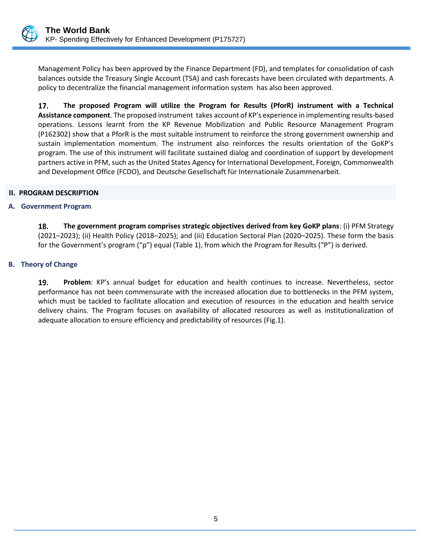

Management Policy has been approved by the Finance Department (FD), and templates for consolidation of cash balances outside the Treasury Single Account (TSA) and cash forecasts have been circulated with departments. A policy to decentralize the financial management information system has also been approved.

17. **The proposed Program will utilize the Program for Results (PforR) instrument with a Technical Assistance component**. The proposed instrument takes account of KP's experience in implementing results-based operations. Lessons learnt from the KP Revenue Mobilization and Public Resource Management Program (P162302) show that a PforR is the most suitable instrument to reinforce the strong government ownership and sustain implementation momentum. The instrument also reinforces the results orientation of the GoKP's program. The use of this instrument will facilitate sustained dialog and coordination of support by development partners active in PFM, such as the United States Agency for International Development, Foreign, Commonwealth and Development Office (FCDO), and Deutsche Gesellschaft für Internationale Zusammenarbeit.

#### <span id="page-13-0"></span>**II. PROGRAM DESCRIPTION**

#### <span id="page-13-1"></span>**A. Government Program**

18. **The government program comprises strategic objectives derived from key GoKP plans**: (i) PFM Strategy (2021–2023); (ii) Health Policy (2018–2025); and (iii) Education Sectoral Plan (2020–2025). These form the basis for the Government's program ("p") equal (Table 1), from which the Program for Results ("P") is derived.

#### <span id="page-13-2"></span>**B. Theory of Change**

19. **Problem**: KP's annual budget for education and health continues to increase. Nevertheless, sector performance has not been commensurate with the increased allocation due to bottlenecks in the PFM system, which must be tackled to facilitate allocation and execution of resources in the education and health service delivery chains. The Program focuses on availability of allocated resources as well as institutionalization of adequate allocation to ensure efficiency and predictability of resources (Fig.1).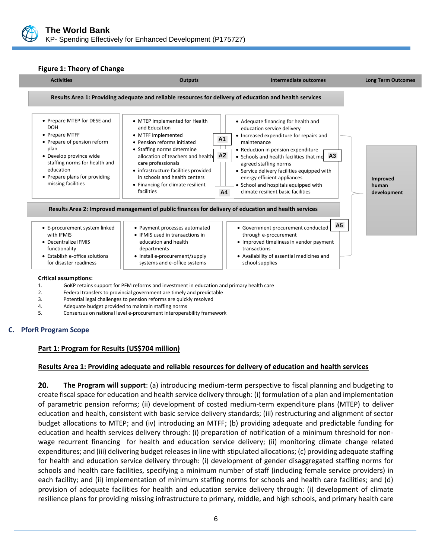

#### **Figure 1: Theory of Change**



#### **Critical assumptions:** •

- 1. GoKP retains support for PFM reforms and investment in education and primary health care
- 2. Federal transfers to provincial government are timely and predictable
- 3. Potential legal challenges to pension reforms are quickly resolved
- 4. Adequate budget provided to maintain staffing norms
- 5. Consensus on national level e-procurement interoperability framework

#### <span id="page-14-0"></span>**C. PforR Program Scope**

#### **Part 1: Program for Results (US\$704 million)**

#### **Results Area 1: Providing adequate and reliable resources for delivery of education and health services**

20. **The Program will support**: (a) introducing medium-term perspective to fiscal planning and budgeting to create fiscal space for education and health service delivery through: (i) formulation of a plan and implementation of parametric pension reforms; (ii) development of costed medium-term expenditure plans (MTEP) to deliver education and health, consistent with basic service delivery standards; (iii) restructuring and alignment of sector budget allocations to MTEP; and (iv) introducing an MTFF; (b) providing adequate and predictable funding for education and health services delivery through: (i) preparation of notification of a minimum threshold for nonwage recurrent financing for health and education service delivery; (ii) monitoring climate change related expenditures; and (iii) delivering budget releases in line with stipulated allocations; (c) providing adequate staffing for health and education service delivery through: (i) development of gender disaggregated staffing norms for schools and health care facilities, specifying a minimum number of staff (including female service providers) in each facility; and (ii) implementation of minimum staffing norms for schools and health care facilities; and (d) provision of adequate facilities for health and education service delivery through: (i) development of climate resilience plans for providing missing infrastructure to primary, middle, and high schools, and primary health care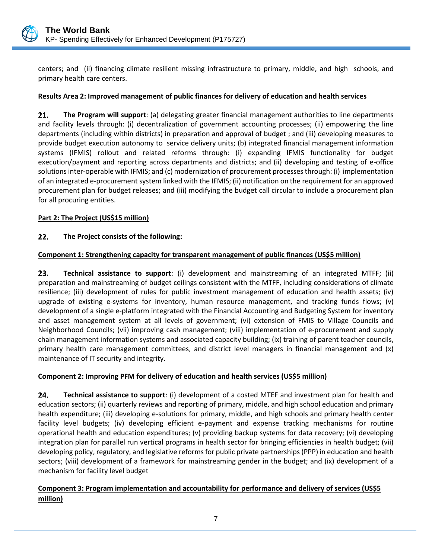

centers; and (ii) financing climate resilient missing infrastructure to primary, middle, and high schools, and primary health care centers.

#### **Results Area 2: Improved management of public finances for delivery of education and health services**

21. **The Program will support**: (a) delegating greater financial management authorities to line departments and facility levels through: (i) decentralization of government accounting processes; (ii) empowering the line departments (including within districts) in preparation and approval of budget ; and (iii) developing measures to provide budget execution autonomy to service delivery units; (b) integrated financial management information systems (IFMIS) rollout and related reforms through: (i) expanding IFMIS functionality for budget execution/payment and reporting across departments and districts; and (ii) developing and testing of e-office solutions inter-operable with IFMIS; and (c) modernization of procurement processes through: (i) implementation of an integrated e-procurement system linked with the IFMIS; (ii) notification on the requirement for an approved procurement plan for budget releases; and (iii) modifying the budget call circular to include a procurement plan for all procuring entities.

#### **Part 2: The Project (US\$15 million)**

#### $22.$ **The Project consists of the following:**

## **Component 1: Strengthening capacity for transparent management of public finances (US\$5 million)**

23. **Technical assistance to support**: (i) development and mainstreaming of an integrated MTFF; (ii) preparation and mainstreaming of budget ceilings consistent with the MTFF, including considerations of climate resilience; (iii) development of rules for public investment management of education and health assets; (iv) upgrade of existing e-systems for inventory, human resource management, and tracking funds flows; (v) development of a single e-platform integrated with the Financial Accounting and Budgeting System for inventory and asset management system at all levels of government; (vi) extension of FMIS to Village Councils and Neighborhood Councils; (vii) improving cash management; (viii) implementation of e-procurement and supply chain management information systems and associated capacity building; (ix) training of parent teacher councils, primary health care management committees, and district level managers in financial management and (x) maintenance of IT security and integrity.

#### **Component 2: Improving PFM for delivery of education and health services (US\$5 million)**

24. **Technical assistance to support**: (i) development of a costed MTEF and investment plan for health and education sectors; (ii) quarterly reviews and reporting of primary, middle, and high school education and primary health expenditure; (iii) developing e-solutions for primary, middle, and high schools and primary health center facility level budgets; (iv) developing efficient e-payment and expense tracking mechanisms for routine operational health and education expenditures; (v) providing backup systems for data recovery; (vi) developing integration plan for parallel run vertical programs in health sector for bringing efficiencies in health budget; (vii) developing policy, regulatory, and legislative reforms for public private partnerships (PPP) in education and health sectors; (viii) development of a framework for mainstreaming gender in the budget; and (ix) development of a mechanism for facility level budget

# **Component 3: Program implementation and accountability for performance and delivery of services (US\$5 million)**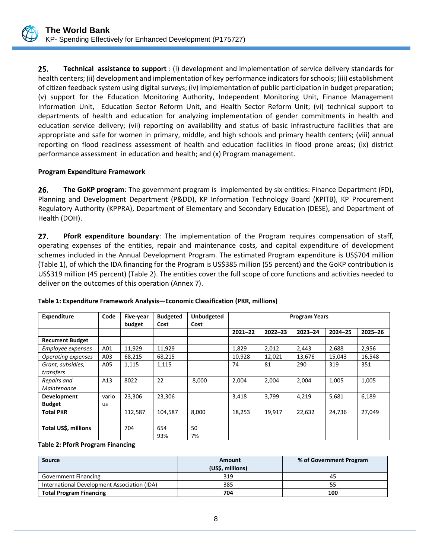

25. **Technical assistance to support** : (i) development and implementation of service delivery standards for health centers; (ii) development and implementation of key performance indicators for schools; (iii) establishment of citizen feedback system using digital surveys; (iv) implementation of public participation in budget preparation; (v) support for the Education Monitoring Authority, Independent Monitoring Unit, Finance Management Information Unit, Education Sector Reform Unit, and Health Sector Reform Unit; (vi) technical support to departments of health and education for analyzing implementation of gender commitments in health and education service delivery; (vii) reporting on availability and status of basic infrastructure facilities that are appropriate and safe for women in primary, middle, and high schools and primary health centers; (viii) annual reporting on flood readiness assessment of health and education facilities in flood prone areas; (ix) district performance assessment in education and health; and (x) Program management.

#### **Program Expenditure Framework**

26. **The GoKP program**: The government program is implemented by six entities: Finance Department (FD), Planning and Development Department (P&DD), KP Information Technology Board (KPITB), KP Procurement Regulatory Authority (KPPRA), Department of Elementary and Secondary Education (DESE), and Department of Health (DOH).

 $27.$ **PforR expenditure boundary**: The implementation of the Program requires compensation of staff, operating expenses of the entities, repair and maintenance costs, and capital expenditure of development schemes included in the Annual Development Program. The estimated Program expenditure is US\$704 million (Table 1), of which the IDA financing for the Program is US\$385 million (55 percent) and the GoKP contribution is US\$319 million (45 percent) (Table 2). The entities cover the full scope of core functions and activities needed to deliver on the outcomes of this operation (Annex 7).

| <b>Expenditure</b>      | Code  | Five-year<br>budget | <b>Budgeted</b><br>Cost | <b>Unbudgeted</b><br>Cost | <b>Program Years</b> |             |             |             |             |
|-------------------------|-------|---------------------|-------------------------|---------------------------|----------------------|-------------|-------------|-------------|-------------|
|                         |       |                     |                         |                           | $2021 - 22$          | $2022 - 23$ | $2023 - 24$ | $2024 - 25$ | $2025 - 26$ |
| <b>Recurrent Budget</b> |       |                     |                         |                           |                      |             |             |             |             |
| Employee expenses       | A01   | 11,929              | 11,929                  |                           | 1,829                | 2,012       | 2,443       | 2,688       | 2,956       |
| Operating expenses      | A03   | 68,215              | 68,215                  |                           | 10,928               | 12,021      | 13,676      | 15,043      | 16,548      |
| Grant, subsidies,       | A05   | 1,115               | 1,115                   |                           | 74                   | 81          | 290         | 319         | 351         |
| transfers               |       |                     |                         |                           |                      |             |             |             |             |
| Repairs and             | A13   | 8022                | 22                      | 8,000                     | 2,004                | 2,004       | 2,004       | 1,005       | 1,005       |
| Maintenance             |       |                     |                         |                           |                      |             |             |             |             |
| <b>Development</b>      | vario | 23,306              | 23,306                  |                           | 3,418                | 3,799       | 4,219       | 5,681       | 6,189       |
| <b>Budget</b>           | us    |                     |                         |                           |                      |             |             |             |             |
| <b>Total PKR</b>        |       | 112,587             | 104.587                 | 8,000                     | 18,253               | 19,917      | 22,632      | 24,736      | 27,049      |
|                         |       |                     |                         |                           |                      |             |             |             |             |
| Total US\$, millions    |       | 704                 | 654                     | 50                        |                      |             |             |             |             |
|                         |       |                     | 93%                     | 7%                        |                      |             |             |             |             |

**Table 1: Expenditure Framework Analysis—Economic Classification (PKR, millions)**

**Table 2: PforR Program Financing**

| Source                                      | <b>Amount</b>    | % of Government Program |
|---------------------------------------------|------------------|-------------------------|
|                                             | (US\$, millions) |                         |
| <b>Government Financing</b>                 | 319              | 45                      |
| International Development Association (IDA) | 385              |                         |
| <b>Total Program Financing</b>              | 704              | 100                     |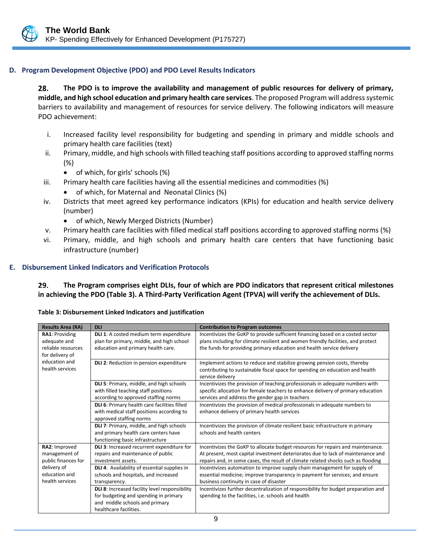#### <span id="page-17-0"></span>**D. Program Development Objective (PDO) and PDO Level Results Indicators**

28. **The PDO is to improve the availability and management of public resources for delivery of primary, middle, and high school education and primary health care services**. The proposed Program will address systemic barriers to availability and management of resources for service delivery. The following indicators will measure PDO achievement:

- i. Increased facility level responsibility for budgeting and spending in primary and middle schools and primary health care facilities (text)
- ii. Primary, middle, and high schools with filled teaching staff positions according to approved staffing norms (%)
	- of which, for girls' schools (%)
- iii. Primary health care facilities having all the essential medicines and commodities (%)
	- of which, for Maternal and Neonatal Clinics (%)
- iv. Districts that meet agreed key performance indicators (KPIs) for education and health service delivery (number)
	- of which, Newly Merged Districts (Number)
- v. Primary health care facilities with filled medical staff positions according to approved staffing norms (%)
- vi. Primary, middle, and high schools and primary health care centers that have functioning basic infrastructure (number)

#### <span id="page-17-1"></span>**E. Disbursement Linked Indicators and Verification Protocols**

**The Program comprises eight DLIs, four of which are PDO indicators that represent critical milestones**   $29.$ **in achieving the PDO (Table 3). A Third-Party Verification Agent (TPVA) will verify the achievement of DLIs.**

| <b>Results Area (RA)</b>                              | <b>DLI</b>                                                                                                                                          | <b>Contribution to Program outcomes</b>                                                                                                                                                                                                                 |
|-------------------------------------------------------|-----------------------------------------------------------------------------------------------------------------------------------------------------|---------------------------------------------------------------------------------------------------------------------------------------------------------------------------------------------------------------------------------------------------------|
| RA1: Providing<br>adequate and<br>reliable resources  | DLI 1: A costed medium term expenditure<br>plan for primary, middle, and high school                                                                | Incentivizes the GoKP to provide sufficient financing based on a costed sector<br>plans including for climate resilient and women friendly facilities, and protect                                                                                      |
| for delivery of                                       | education and primary health care.                                                                                                                  | the funds for providing primary education and health service delivery                                                                                                                                                                                   |
| education and<br>health services                      | <b>DLI 2: Reduction in pension expenditure</b>                                                                                                      | Implement actions to reduce and stabilize growing pension costs, thereby<br>contributing to sustainable fiscal space for spending on education and health<br>service delivery                                                                           |
|                                                       | DLI 5: Primary, middle, and high schools<br>with filled teaching staff positions<br>according to approved staffing norms                            | Incentivizes the provision of teaching professionals in adequate numbers with<br>specific allocation for female teachers to enhance delivery of primary education<br>services and address the gender gap in teachers                                    |
|                                                       | DLI 6: Primary health care facilities filled<br>with medical staff positions according to<br>approved staffing norms                                | Incentivizes the provision of medical professionals in adequate numbers to<br>enhance delivery of primary health services                                                                                                                               |
|                                                       | DLI 7: Primary, middle, and high schools<br>and primary health care centers have<br>functioning basic infrastructure                                | Incentivizes the provision of climate resilient basic infrastructure in primary<br>schools and health centers                                                                                                                                           |
| RA2: Improved<br>management of<br>public finances for | DLI 3: Increased recurrent expenditure for<br>repairs and maintenance of public<br>investment assets.                                               | Incentivizes the GoKP to allocate budget resources for repairs and maintenance.<br>At present, most capital investment deteriorates due to lack of maintenance and<br>repairs and, in some cases, the result of climate related shocks such as flooding |
| delivery of<br>education and<br>health services       | DLI 4: Availability of essential supplies in<br>schools and hospitals, and increased<br>transparency.                                               | Incentivizes automation to improve supply chain management for supply of<br>essential medicine; improve transparency in payment for services; and ensure<br>business continuity in case of disaster                                                     |
|                                                       | DLI 8: Increased facility level responsibility<br>for budgeting and spending in primary<br>and middle schools and primary<br>healthcare facilities. | Incentivizes further decentralization of responsibility for budget preparation and<br>spending to the facilities, i.e. schools and health                                                                                                               |

**Table 3: Disbursement Linked Indicators and justification**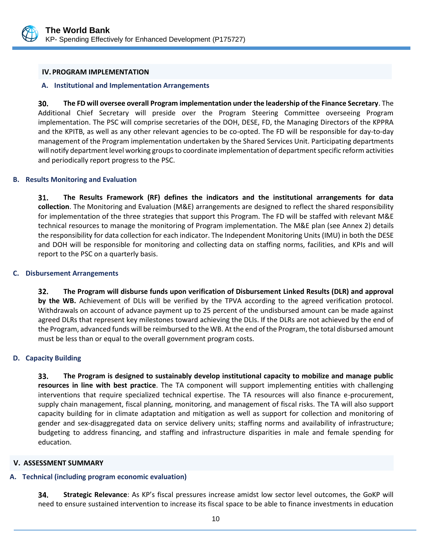

#### <span id="page-18-0"></span>**IV.PROGRAM IMPLEMENTATION**

#### <span id="page-18-1"></span>**A. Institutional and Implementation Arrangements**

30. **The FD will oversee overall Program implementation under the leadership of the Finance Secretary**. The Additional Chief Secretary will preside over the Program Steering Committee overseeing Program implementation. The PSC will comprise secretaries of the DOH, DESE, FD, the Managing Directors of the KPPRA and the KPITB, as well as any other relevant agencies to be co-opted. The FD will be responsible for day-to-day management of the Program implementation undertaken by the Shared Services Unit. Participating departments will notify department level working groups to coordinate implementation of department specific reform activities and periodically report progress to the PSC.

#### <span id="page-18-2"></span>**B. Results Monitoring and Evaluation**

31. **The Results Framework (RF) defines the indicators and the institutional arrangements for data collection**. The Monitoring and Evaluation (M&E) arrangements are designed to reflect the shared responsibility for implementation of the three strategies that support this Program. The FD will be staffed with relevant M&E technical resources to manage the monitoring of Program implementation. The M&E plan (see Annex 2) details the responsibility for data collection for each indicator. The Independent Monitoring Units (IMU) in both the DESE and DOH will be responsible for monitoring and collecting data on staffing norms, facilities, and KPIs and will report to the PSC on a quarterly basis.

#### <span id="page-18-3"></span>**C. Disbursement Arrangements**

32. **The Program will disburse funds upon verification of Disbursement Linked Results (DLR) and approval by the WB.** Achievement of DLIs will be verified by the TPVA according to the agreed verification protocol. Withdrawals on account of advance payment up to 25 percent of the undisbursed amount can be made against agreed DLRs that represent key milestones toward achieving the DLIs. If the DLRs are not achieved by the end of the Program, advanced funds will be reimbursed to the WB. At the end of the Program, the total disbursed amount must be less than or equal to the overall government program costs.

#### <span id="page-18-4"></span>**D. Capacity Building**

**The Program is designed to sustainably develop institutional capacity to mobilize and manage public**  33. **resources in line with best practice**. The TA component will support implementing entities with challenging interventions that require specialized technical expertise. The TA resources will also finance e-procurement, supply chain management, fiscal planning, monitoring, and management of fiscal risks. The TA will also support capacity building for in climate adaptation and mitigation as well as support for collection and monitoring of gender and sex-disaggregated data on service delivery units; staffing norms and availability of infrastructure; budgeting to address financing, and staffing and infrastructure disparities in male and female spending for education.

#### <span id="page-18-5"></span>**V. ASSESSMENT SUMMARY**

# <span id="page-18-6"></span>**A. Technical (including program economic evaluation)**

34. **Strategic Relevance**: As KP's fiscal pressures increase amidst low sector level outcomes, the GoKP will need to ensure sustained intervention to increase its fiscal space to be able to finance investments in education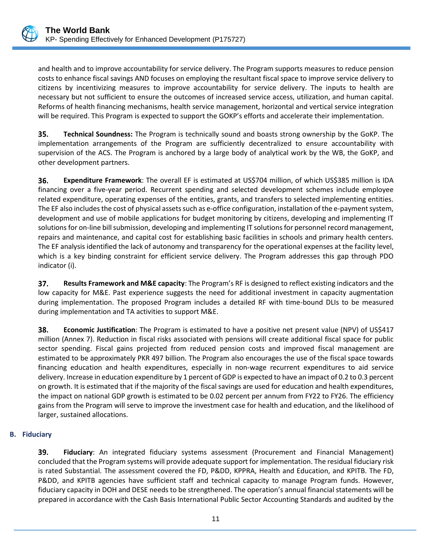

and health and to improve accountability for service delivery. The Program supports measures to reduce pension costs to enhance fiscal savings AND focuses on employing the resultant fiscal space to improve service delivery to citizens by incentivizing measures to improve accountability for service delivery. The inputs to health are necessary but not sufficient to ensure the outcomes of increased service access, utilization, and human capital. Reforms of health financing mechanisms, health service management, horizontal and vertical service integration will be required. This Program is expected to support the GOKP's efforts and accelerate their implementation.

35. **Technical Soundness:** The Program is technically sound and boasts strong ownership by the GoKP. The implementation arrangements of the Program are sufficiently decentralized to ensure accountability with supervision of the ACS. The Program is anchored by a large body of analytical work by the WB, the GoKP, and other development partners.

36. **Expenditure Framework**: The overall EF is estimated at US\$704 million, of which US\$385 million is IDA financing over a five-year period. Recurrent spending and selected development schemes include employee related expenditure, operating expenses of the entities, grants, and transfers to selected implementing entities. The EF also includes the cost of physical assets such as e-office configuration, installation of the e-payment system, development and use of mobile applications for budget monitoring by citizens, developing and implementing IT solutions for on-line bill submission, developing and implementing IT solutions for personnel record management, repairs and maintenance, and capital cost for establishing basic facilities in schools and primary health centers. The EF analysis identified the lack of autonomy and transparency for the operational expenses at the facility level, which is a key binding constraint for efficient service delivery. The Program addresses this gap through PDO indicator (i).

37. **Results Framework and M&E capacity**: The Program's RF is designed to reflect existing indicators and the low capacity for M&E. Past experience suggests the need for additional investment in capacity augmentation during implementation. The proposed Program includes a detailed RF with time-bound DLIs to be measured during implementation and TA activities to support M&E.

38. **Economic Justification**: The Program is estimated to have a positive net present value (NPV) of US\$417 million (Annex 7). Reduction in fiscal risks associated with pensions will create additional fiscal space for public sector spending. Fiscal gains projected from reduced pension costs and improved fiscal management are estimated to be approximately PKR 497 billion. The Program also encourages the use of the fiscal space towards financing education and health expenditures, especially in non-wage recurrent expenditures to aid service delivery. Increase in education expenditure by 1 percent of GDP is expected to have an impact of 0.2 to 0.3 percent on growth. It is estimated that if the majority of the fiscal savings are used for education and health expenditures, the impact on national GDP growth is estimated to be 0.02 percent per annum from FY22 to FY26. The efficiency gains from the Program will serve to improve the investment case for health and education, and the likelihood of larger, sustained allocations.

## <span id="page-19-0"></span>**B. Fiduciary**

39. **Fiduciary**: An integrated fiduciary systems assessment (Procurement and Financial Management) concluded that the Program systems will provide adequate support for implementation. The residual fiduciary risk is rated Substantial. The assessment covered the FD, P&DD, KPPRA, Health and Education, and KPITB. The FD, P&DD, and KPITB agencies have sufficient staff and technical capacity to manage Program funds. However, fiduciary capacity in DOH and DESE needs to be strengthened. The operation's annual financial statements will be prepared in accordance with the Cash Basis International Public Sector Accounting Standards and audited by the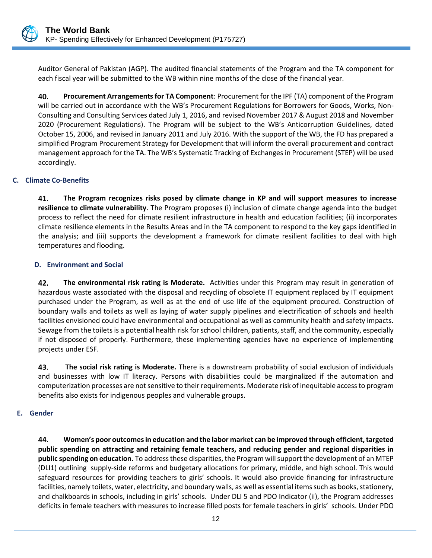

Auditor General of Pakistan (AGP). The audited financial statements of the Program and the TA component for each fiscal year will be submitted to the WB within nine months of the close of the financial year.

40. **Procurement Arrangements for TA Component**: Procurement for the IPF (TA) component of the Program will be carried out in accordance with the WB's Procurement Regulations for Borrowers for Goods, Works, Non-Consulting and Consulting Services dated July 1, 2016, and revised November 2017 & August 2018 and November 2020 (Procurement Regulations). The Program will be subject to the WB's Anticorruption Guidelines, dated October 15, 2006, and revised in January 2011 and July 2016. With the support of the WB, the FD has prepared a simplified Program Procurement Strategy for Development that will inform the overall procurement and contract management approach for the TA. The WB's Systematic Tracking of Exchanges in Procurement (STEP) will be used accordingly.

## <span id="page-20-0"></span>**C. Climate Co-Benefits**

41. **The Program recognizes risks posed by climate change in KP and will support measures to increase resilience to climate vulnerability**. The Program proposes (i) inclusion of climate change agenda into the budget process to reflect the need for climate resilient infrastructure in health and education facilities; (ii) incorporates climate resilience elements in the Results Areas and in the TA component to respond to the key gaps identified in the analysis; and (iii) supports the development a framework for climate resilient facilities to deal with high temperatures and flooding.

# <span id="page-20-1"></span>**D. Environment and Social**

42. **The environmental risk rating is Moderate.** Activities under this Program may result in generation of hazardous waste associated with the disposal and recycling of obsolete IT equipment replaced by IT equipment purchased under the Program, as well as at the end of use life of the equipment procured. Construction of boundary walls and toilets as well as laying of water supply pipelines and electrification of schools and health facilities envisioned could have environmental and occupational as well as community health and safety impacts. Sewage from the toilets is a potential health risk for school children, patients, staff, and the community, especially if not disposed of properly. Furthermore, these implementing agencies have no experience of implementing projects under ESF.

43. **The social risk rating is Moderate.** There is a downstream probability of social exclusion of individuals and businesses with low IT literacy. Persons with disabilities could be marginalized if the automation and computerization processes are not sensitive to their requirements. Moderate risk of inequitable access to program benefits also exists for indigenous peoples and vulnerable groups.

## <span id="page-20-2"></span>**E. Gender**

44. **Women's poor outcomes in education and the labor market can be improved through efficient, targeted public spending on attracting and retaining female teachers, and reducing gender and regional disparities in public spending on education.** To address these disparities, the Program will support the development of an MTEP (DLI1) outlining supply-side reforms and budgetary allocations for primary, middle, and high school. This would safeguard resources for providing teachers to girls' schools. It would also provide financing for infrastructure facilities, namely toilets, water, electricity, and boundary walls, as well as essential items such as books, stationery, and chalkboards in schools, including in girls' schools. Under DLI 5 and PDO Indicator (ii), the Program addresses deficits in female teachers with measures to increase filled posts for female teachers in girls' schools. Under PDO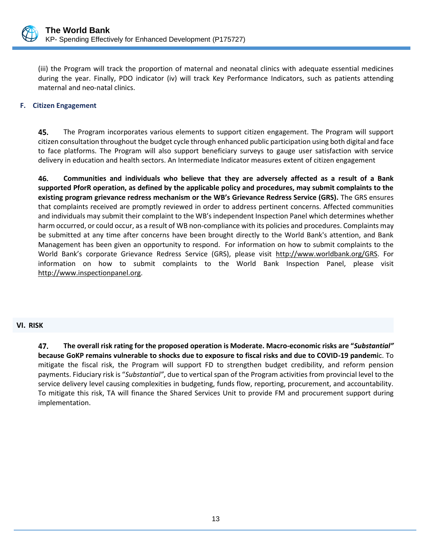

(iii) the Program will track the proportion of maternal and neonatal clinics with adequate essential medicines during the year. Finally, PDO indicator (iv) will track Key Performance Indicators, such as patients attending maternal and neo-natal clinics.

#### <span id="page-21-0"></span>**F. Citizen Engagement**

45. The Program incorporates various elements to support citizen engagement. The Program will support citizen consultation throughout the budget cycle through enhanced public participation using both digital and face to face platforms. The Program will also support beneficiary surveys to gauge user satisfaction with service delivery in education and health sectors. An Intermediate Indicator measures extent of citizen engagement

46. **Communities and individuals who believe that they are adversely affected as a result of a Bank supported PforR operation, as defined by the applicable policy and procedures, may submit complaints to the existing program grievance redress mechanism or the WB's Grievance Redress Service (GRS).** The GRS ensures that complaints received are promptly reviewed in order to address pertinent concerns. Affected communities and individuals may submit their complaint to the WB's independent Inspection Panel which determines whether harm occurred, or could occur, as a result of WB non-compliance with its policies and procedures. Complaints may be submitted at any time after concerns have been brought directly to the World Bank's attention, and Bank Management has been given an opportunity to respond. For information on how to submit complaints to the World Bank's corporate Grievance Redress Service (GRS), please visit [http://www.worldbank.org/GRS.](http://www.worldbank.org/GRS) For information on how to submit complaints to the World Bank Inspection Panel, please visit [http://www.inspectionpanel.org.](http://www.inspectionpanel.org/)

#### <span id="page-21-1"></span>**VI. RISK**

47. **The overall risk rating for the proposed operation is Moderate. Macro-economic risks are "***Substantial"* **because GoKP remains vulnerable to shocks due to exposure to fiscal risks and due to COVID-19 pandemi**c. To mitigate the fiscal risk, the Program will support FD to strengthen budget credibility, and reform pension payments. Fiduciary risk is "*Substantial"*, due to vertical span of the Program activities from provincial level to the service delivery level causing complexities in budgeting, funds flow, reporting, procurement, and accountability. To mitigate this risk, TA will finance the Shared Services Unit to provide FM and procurement support during implementation.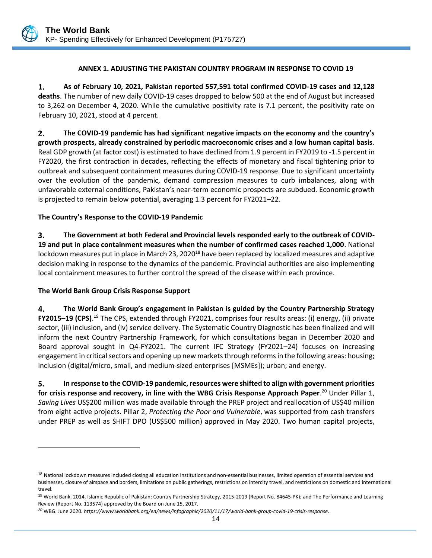#### **ANNEX 1. ADJUSTING THE PAKISTAN COUNTRY PROGRAM IN RESPONSE TO COVID 19**

<span id="page-22-0"></span>1. **As of February 10, 2021, Pakistan reported 557,591 total confirmed COVID-19 cases and 12,128 deaths**. The number of new daily COVID-19 cases dropped to below 500 at the end of August but increased to 3,262 on December 4, 2020. While the cumulative positivity rate is 7.1 percent, the positivity rate on February 10, 2021, stood at 4 percent.

**The COVID-19 pandemic has had significant negative impacts on the economy and the country's**   $2.$ **growth prospects, already constrained by periodic macroeconomic crises and a low human capital basis**. Real GDP growth (at factor cost) is estimated to have declined from 1.9 percent in FY2019 to -1.5 percent in FY2020, the first contraction in decades, reflecting the effects of monetary and fiscal tightening prior to outbreak and subsequent containment measures during COVID-19 response. Due to significant uncertainty over the evolution of the pandemic, demand compression measures to curb imbalances, along with unfavorable external conditions, Pakistan's near-term economic prospects are subdued. Economic growth is projected to remain below potential, averaging 1.3 percent for FY2021–22.

#### **The Country's Response to the COVID-19 Pandemic**

3. **The Government at both Federal and Provincial levels responded early to the outbreak of COVID-19 and put in place containment measures when the number of confirmed cases reached 1,000**. National lockdown measures put in place in March 23, 2020<sup>18</sup> have been replaced by localized measures and adaptive decision making in response to the dynamics of the pandemic. Provincial authorities are also implementing local containment measures to further control the spread of the disease within each province.

#### **The World Bank Group Crisis Response Support**

4. **The World Bank Group's engagement in Pakistan is guided by the Country Partnership Strategy FY2015–19 (CPS)**. <sup>19</sup> The CPS, extended through FY2021, comprises four results areas: (i) energy, (ii) private sector, (iii) inclusion, and (iv) service delivery. The Systematic Country Diagnostic has been finalized and will inform the next Country Partnership Framework, for which consultations began in December 2020 and Board approval sought in Q4-FY2021. The current IFC Strategy (FY2021–24) focuses on increasing engagement in critical sectors and opening up new markets through reforms in the following areas: housing; inclusion (digital/micro, small, and medium-sized enterprises [MSMEs]); urban; and energy.

5. **In response to the COVID-19 pandemic, resources were shifted to align with government priorities for crisis response and recovery, in line with the WBG Crisis Response Approach Paper**. <sup>20</sup> Under Pillar 1, *Saving Lives* US\$200 million was made available through the PREP project and reallocation of US\$40 million from eight active projects. Pillar 2, *Protecting the Poor and Vulnerable*, was supported from cash transfers under PREP as well as SHIFT DPO (US\$500 million) approved in May 2020. Two human capital projects,

<sup>&</sup>lt;sup>18</sup> National lockdown measures included closing all education institutions and non-essential businesses, limited operation of essential services and businesses, closure of airspace and borders, limitations on public gatherings, restrictions on intercity travel, and restrictions on domestic and international travel.

<sup>&</sup>lt;sup>19</sup> World Bank. 2014. Islamic Republic of Pakistan: Country Partnership Strategy, 2015-2019 (Report No. 84645-PK); and The Performance and Learning Review (Report No. 113574) approved by the Board on June 15, 2017.

*<sup>20</sup>* WBG. June 2020*[. https://www.worldbank.org/en/news/infographic/2020/11/17/world-bank-group-covid-19-crisis-response](https://www.worldbank.org/en/news/infographic/2020/11/17/world-bank-group-covid-19-crisis-response)*.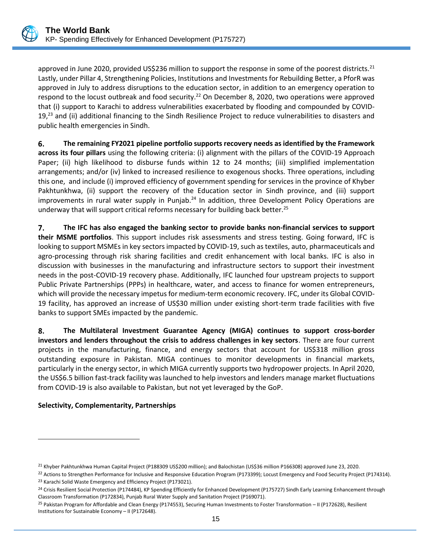

approved in June 2020, provided US\$236 million to support the response in some of the poorest districts.<sup>21</sup> Lastly, under Pillar 4, Strengthening Policies, Institutions and Investments for Rebuilding Better, a PforR was approved in July to address disruptions to the education sector, in addition to an emergency operation to respond to the locust outbreak and food security.<sup>22</sup> On December 8, 2020, two operations were approved that (i) support to Karachi to address vulnerabilities exacerbated by flooding and compounded by COVID- $19<sub>,23</sub>$  and (ii) additional financing to the Sindh Resilience Project to reduce vulnerabilities to disasters and public health emergencies in Sindh.

**The remaining FY2021 pipeline portfolio supports recovery needs as identified by the Framework**  6. **across its four pillars** using the following criteria: (i) alignment with the pillars of the COVID-19 Approach Paper; (ii) high likelihood to disburse funds within 12 to 24 months; (iii) simplified implementation arrangements; and/or (iv) linked to increased resilience to exogenous shocks. Three operations, including this one, and include (i) improved efficiency of government spending for services in the province of Khyber Pakhtunkhwa, (ii) support the recovery of the Education sector in Sindh province, and (iii) support improvements in rural water supply in Punjab. $^{24}$  In addition, three Development Policy Operations are underway that will support critical reforms necessary for building back better.<sup>25</sup>

7. **The IFC has also engaged the banking sector to provide banks non-financial services to support their MSME portfolios**. This support includes risk assessments and stress testing. Going forward, IFC is looking to support MSMEs in key sectors impacted by COVID-19, such as textiles, auto, pharmaceuticals and agro-processing through risk sharing facilities and credit enhancement with local banks. IFC is also in discussion with businesses in the manufacturing and infrastructure sectors to support their investment needs in the post-COVID-19 recovery phase. Additionally, IFC launched four upstream projects to support Public Private Partnerships (PPPs) in healthcare, water, and access to finance for women entrepreneurs, which will provide the necessary impetus for medium-term economic recovery. IFC, under its Global COVID-19 facility, has approved an increase of US\$30 million under existing short-term trade facilities with five banks to support SMEs impacted by the pandemic.

8. **The Multilateral Investment Guarantee Agency (MIGA) continues to support cross-border investors and lenders throughout the crisis to address challenges in key sectors**. There are four current projects in the manufacturing, finance, and energy sectors that account for US\$318 million gross outstanding exposure in Pakistan. MIGA continues to monitor developments in financial markets, particularly in the energy sector, in which MIGA currently supports two hydropower projects. In April 2020, the US\$6.5 billion fast-track facility was launched to help investors and lenders manage market fluctuations from COVID-19 is also available to Pakistan, but not yet leveraged by the GoP.

## **Selectivity, Complementarity, Partnerships**

<sup>&</sup>lt;sup>21</sup> Khyber Pakhtunkhwa Human Capital Project (P188309 US\$200 million); and Balochistan (US\$36 million P166308) approved June 23, 2020.

<sup>&</sup>lt;sup>22</sup> Actions to Strengthen Performance for Inclusive and Responsive Education Program (P173399); Locust Emergency and Food Security Project (P174314). <sup>23</sup> Karachi Solid Waste Emergency and Efficiency Project (P173021).

<sup>&</sup>lt;sup>24</sup> Crisis Resilient Social Protection (P174484), KP Spending Efficiently for Enhanced Development (P175727) Sindh Early Learning Enhancement through Classroom Transformation (P172834), Punjab Rural Water Supply and Sanitation Project (P169071).

<sup>&</sup>lt;sup>25</sup> Pakistan Program for Affordable and Clean Energy (P174553), Securing Human Investments to Foster Transformation – II (P172628), Resilient Institutions for Sustainable Economy – II (P172648).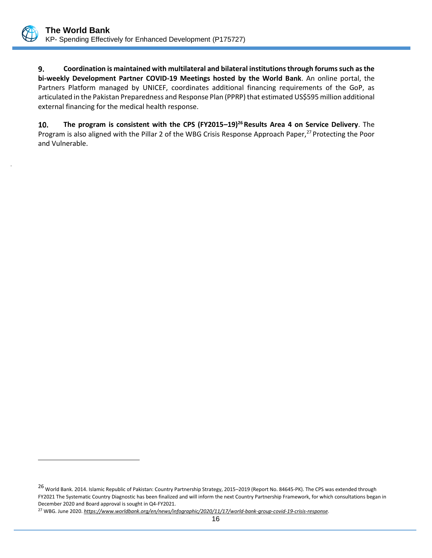

.

9. **Coordination is maintained with multilateral and bilateral institutions through forums such as the bi-weekly Development Partner COVID-19 Meetings hosted by the World Bank**. An online portal, the Partners Platform managed by UNICEF, coordinates additional financing requirements of the GoP, as articulated in the Pakistan Preparedness and Response Plan (PPRP) that estimated US\$595 million additional external financing for the medical health response.

10. **The program is consistent with the CPS (FY2015–19) <sup>26</sup>Results Area 4 on Service Delivery**. The Program is also aligned with the Pillar 2 of the WBG Crisis Response Approach Paper,<sup>27</sup> Protecting the Poor and Vulnerable.

<sup>26</sup> World Bank. 2014. Islamic Republic of Pakistan: Country Partnership Strategy, 2015–<sup>2019</sup> (Report No. 84645-PK). The CPS was extended through FY2021 The Systematic Country Diagnostic has been finalized and will inform the next Country Partnership Framework, for which consultations began in December 2020 and Board approval is sought in Q4-FY2021.

<sup>27</sup> WBG. June 2020. *[https://www.worldbank.org/en/news/infographic/2020/11/17/world-bank-group-covid-19-crisis-response.](https://www.worldbank.org/en/news/infographic/2020/11/17/world-bank-group-covid-19-crisis-response)*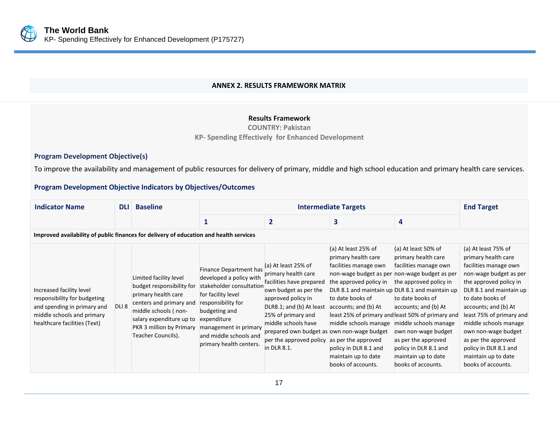

#### **ANNEX 2. RESULTS FRAMEWORK MATRIX**

#### **Results Framework**

**COUNTRY: Pakistan**

**KP- Spending Effectively for Enhanced Development**

#### **Program Development Objective(s)**

To improve the availability and management of public resources for delivery of primary, middle and high school education and primary health care services.

# **Program Development Objective Indicators by Objectives/Outcomes**

<span id="page-25-0"></span>

| <b>Indicator Name</b>                                                                                                                                 | <b>DLI</b>       | <b>Baseline</b>                                                                                                                                                                                             |                                                                                                                                                                                                                                         |                                                                                                                                                                                                                                                                                        | <b>Intermediate Targets</b>                                                                                                                                                                                                                                                                                      |                                                                                                                                                                                                                                                                                                                                                                                                | <b>End Target</b>                                                                                                                                                                                                                                                                                                                                                       |
|-------------------------------------------------------------------------------------------------------------------------------------------------------|------------------|-------------------------------------------------------------------------------------------------------------------------------------------------------------------------------------------------------------|-----------------------------------------------------------------------------------------------------------------------------------------------------------------------------------------------------------------------------------------|----------------------------------------------------------------------------------------------------------------------------------------------------------------------------------------------------------------------------------------------------------------------------------------|------------------------------------------------------------------------------------------------------------------------------------------------------------------------------------------------------------------------------------------------------------------------------------------------------------------|------------------------------------------------------------------------------------------------------------------------------------------------------------------------------------------------------------------------------------------------------------------------------------------------------------------------------------------------------------------------------------------------|-------------------------------------------------------------------------------------------------------------------------------------------------------------------------------------------------------------------------------------------------------------------------------------------------------------------------------------------------------------------------|
|                                                                                                                                                       |                  |                                                                                                                                                                                                             |                                                                                                                                                                                                                                         | 2                                                                                                                                                                                                                                                                                      | 3                                                                                                                                                                                                                                                                                                                | 4                                                                                                                                                                                                                                                                                                                                                                                              |                                                                                                                                                                                                                                                                                                                                                                         |
| Improved availability of public finances for delivery of education and health services                                                                |                  |                                                                                                                                                                                                             |                                                                                                                                                                                                                                         |                                                                                                                                                                                                                                                                                        |                                                                                                                                                                                                                                                                                                                  |                                                                                                                                                                                                                                                                                                                                                                                                |                                                                                                                                                                                                                                                                                                                                                                         |
| Increased facility level<br>responsibility for budgeting<br>and spending in primary and<br>middle schools and primary<br>healthcare facilities (Text) | DLI <sub>8</sub> | Limited facility level<br>budget responsibility for<br>primary health care<br>centers and primary and<br>middle schools (non-<br>salary expenditure up to<br>PKR 3 million by Primary<br>Teacher Councils). | Finance Department has<br>developed a policy with<br>stakeholder consultation<br>for facility level<br>responsibility for<br>budgeting and<br>expenditure<br>management in primary<br>and middle schools and<br>primary health centers. | (a) At least 25% of<br>primary health care<br>facilities have prepared<br>own budget as per the<br>approved policy in<br>DLR8.1; and (b) At least<br>25% of primary and<br>middle schools have<br>prepared own budget as own non-wage budget<br>per the approved policy<br>in DLR 8.1. | (a) At least 25% of<br>primary health care<br>facilities manage own<br>non-wage budget as per non-wage budget as per<br>the approved policy in<br>to date books of<br>accounts; and (b) At<br>middle schools manage<br>as per the approved<br>policy in DLR 8.1 and<br>maintain up to date<br>books of accounts. | (a) At least 50% of<br>primary health care<br>facilities manage own<br>the approved policy in<br>DLR 8.1 and maintain up DLR 8.1 and maintain up<br>to date books of<br>accounts; and (b) At<br>least 25% of primary and least 50% of primary and<br>middle schools manage<br>own non-wage budget<br>as per the approved<br>policy in DLR 8.1 and<br>maintain up to date<br>books of accounts. | (a) At least 75% of<br>primary health care<br>facilities manage own<br>non-wage budget as per<br>the approved policy in<br>DLR 8.1 and maintain up<br>to date books of<br>accounts; and (b) At<br>least 75% of primary and<br>middle schools manage<br>own non-wage budget<br>as per the approved<br>policy in DLR 8.1 and<br>maintain up to date<br>books of accounts. |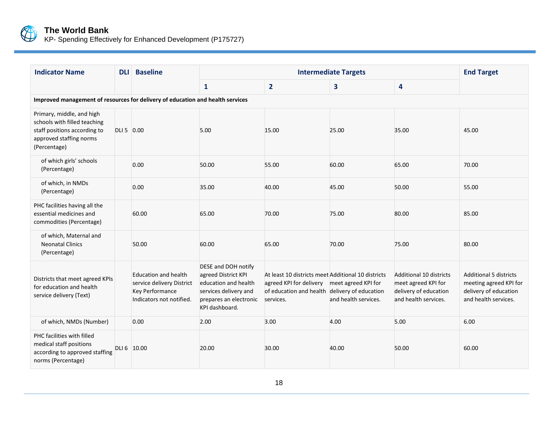

KP- Spending Effectively for Enhanced Development (P175727)

| <b>Indicator Name</b>                                                                                                                |            | <b>DLI</b> Baseline                                                                              |                                                                                                                                         | <b>End Target</b>                                                                                                                                               |                      |                                                                                                 |                                                                                                          |  |  |  |
|--------------------------------------------------------------------------------------------------------------------------------------|------------|--------------------------------------------------------------------------------------------------|-----------------------------------------------------------------------------------------------------------------------------------------|-----------------------------------------------------------------------------------------------------------------------------------------------------------------|----------------------|-------------------------------------------------------------------------------------------------|----------------------------------------------------------------------------------------------------------|--|--|--|
|                                                                                                                                      |            |                                                                                                  | $\mathbf{1}$                                                                                                                            | $\overline{2}$                                                                                                                                                  | 3                    | $\overline{\mathbf{4}}$                                                                         |                                                                                                          |  |  |  |
| Improved management of resources for delivery of education and health services                                                       |            |                                                                                                  |                                                                                                                                         |                                                                                                                                                                 |                      |                                                                                                 |                                                                                                          |  |  |  |
| Primary, middle, and high<br>schools with filled teaching<br>staff positions according to<br>approved staffing norms<br>(Percentage) | DLI 5 0.00 |                                                                                                  | 5.00                                                                                                                                    | 15.00                                                                                                                                                           | 25.00                | 35.00                                                                                           | 45.00                                                                                                    |  |  |  |
| of which girls' schools<br>(Percentage)                                                                                              |            | 0.00                                                                                             | 50.00                                                                                                                                   | 55.00                                                                                                                                                           | 60.00                | 65.00                                                                                           | 70.00                                                                                                    |  |  |  |
| of which, in NMDs<br>(Percentage)                                                                                                    |            | 0.00                                                                                             | 35.00                                                                                                                                   | 40.00                                                                                                                                                           | 45.00                | 50.00                                                                                           | 55.00                                                                                                    |  |  |  |
| PHC facilities having all the<br>essential medicines and<br>commodities (Percentage)                                                 |            | 60.00                                                                                            | 65.00                                                                                                                                   | 70.00                                                                                                                                                           | 75.00                | 80.00                                                                                           | 85.00                                                                                                    |  |  |  |
| of which, Maternal and<br><b>Neonatal Clinics</b><br>(Percentage)                                                                    |            | 50.00                                                                                            | 60.00                                                                                                                                   | 65.00                                                                                                                                                           | 70.00                | 75.00                                                                                           | 80.00                                                                                                    |  |  |  |
| Districts that meet agreed KPIs<br>for education and health<br>service delivery (Text)                                               |            | Education and health<br>service delivery District<br>Key Performance<br>Indicators not notified. | DESE and DOH notify<br>agreed District KPI<br>education and health<br>services delivery and<br>prepares an electronic<br>KPI dashboard. | At least 10 districts meet Additional 10 districts<br>agreed KPI for delivery meet agreed KPI for<br>of education and health delivery of education<br>services. | and health services. | Additional 10 districts<br>meet agreed KPI for<br>delivery of education<br>and health services. | <b>Additional 5 districts</b><br>meeting agreed KPI for<br>delivery of education<br>and health services. |  |  |  |
| of which, NMDs (Number)                                                                                                              |            | 0.00                                                                                             | 2.00                                                                                                                                    | 3.00                                                                                                                                                            | 4.00                 | 5.00                                                                                            | 6.00                                                                                                     |  |  |  |
| PHC facilities with filled<br>medical staff positions<br>according to approved staffing<br>norms (Percentage)                        |            | DLI 6 10.00                                                                                      | 20.00                                                                                                                                   | 30.00                                                                                                                                                           | 40.00                | 50.00                                                                                           | 60.00                                                                                                    |  |  |  |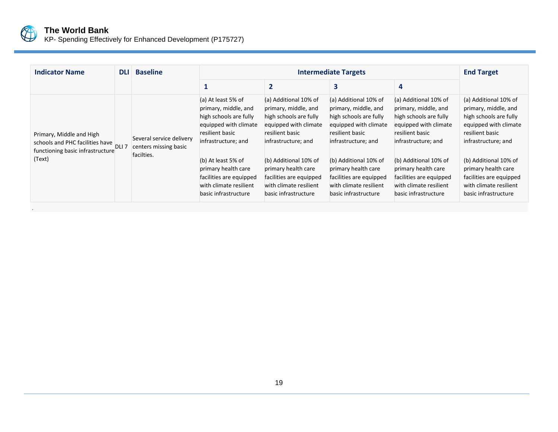

KP- Spending Effectively for Enhanced Development (P175727)

| 3<br>$\boldsymbol{4}$<br>$\overline{2}$<br>(a) At least 5% of<br>(a) Additional 10% of<br>(a) Additional 10% of<br>(a) Additional 10% of<br>primary, middle, and<br>primary, middle, and<br>primary, middle, and<br>primary, middle, and<br>high schools are fully<br>high schools are fully<br>high schools are fully<br>high schools are fully<br>equipped with climate<br>equipped with climate<br>equipped with climate<br>equipped with climate<br>resilient basic<br>resilient basic<br>resilient basic<br>resilient basic<br>resilient basic<br>Primary, Middle and High                    | <b>Indicator Name</b>                 | <b>DLI</b> | <b>Baseline</b>          |                     | <b>Intermediate Targets</b> |                     |                     |                                                                                                                                                                                                                                                      |  |
|----------------------------------------------------------------------------------------------------------------------------------------------------------------------------------------------------------------------------------------------------------------------------------------------------------------------------------------------------------------------------------------------------------------------------------------------------------------------------------------------------------------------------------------------------------------------------------------------------|---------------------------------------|------------|--------------------------|---------------------|-----------------------------|---------------------|---------------------|------------------------------------------------------------------------------------------------------------------------------------------------------------------------------------------------------------------------------------------------------|--|
|                                                                                                                                                                                                                                                                                                                                                                                                                                                                                                                                                                                                    |                                       |            |                          |                     |                             |                     |                     |                                                                                                                                                                                                                                                      |  |
| centers missing basic<br>functioning basic infrastructure<br>facilties.<br>(Text)<br>(b) Additional 10% of<br>(b) Additional 10% of<br>(b) Additional 10% of<br>(b) At least 5% of<br>primary health care<br>primary health care<br>primary health care<br>primary health care<br>facilities are equipped<br>facilities are equipped<br>facilities are equipped<br>facilities are equipped<br>with climate resilient<br>with climate resilient<br>with climate resilient<br>with climate resilient<br>basic infrastructure<br>basic infrastructure<br>basic infrastructure<br>basic infrastructure | schools and PHC facilities have DLI 7 |            | Several service delivery | infrastructure; and | infrastructure; and         | infrastructure; and | infrastructure; and | (a) Additional 10% of<br>primary, middle, and<br>high schools are fully<br>equipped with climate<br>infrastructure; and<br>(b) Additional 10% of<br>primary health care<br>facilities are equipped<br>with climate resilient<br>basic infrastructure |  |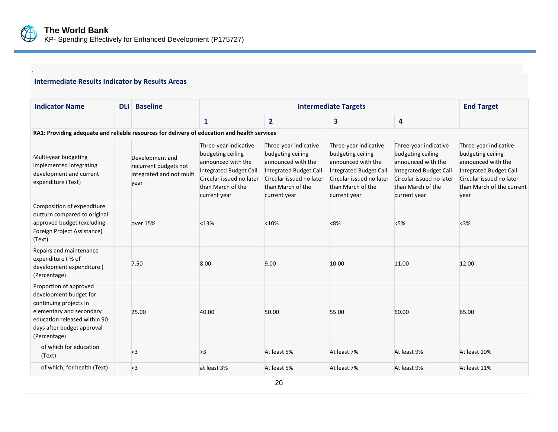

.

# **Intermediate Results Indicator by Results Areas**

| <b>Indicator Name</b>                                                                                                                                                                | <b>DLI</b>                                                                                   | <b>Baseline</b>                                                              |                                                                                                                                                             | <b>End Target</b>                                                                                                                                           |                                                                                                                                                             |                                                                                                                                                             |                                                                                                                                                             |  |  |  |  |
|--------------------------------------------------------------------------------------------------------------------------------------------------------------------------------------|----------------------------------------------------------------------------------------------|------------------------------------------------------------------------------|-------------------------------------------------------------------------------------------------------------------------------------------------------------|-------------------------------------------------------------------------------------------------------------------------------------------------------------|-------------------------------------------------------------------------------------------------------------------------------------------------------------|-------------------------------------------------------------------------------------------------------------------------------------------------------------|-------------------------------------------------------------------------------------------------------------------------------------------------------------|--|--|--|--|
|                                                                                                                                                                                      |                                                                                              |                                                                              | $\mathbf{1}$                                                                                                                                                | 2                                                                                                                                                           | 3                                                                                                                                                           | 4                                                                                                                                                           |                                                                                                                                                             |  |  |  |  |
|                                                                                                                                                                                      | RA1: Providing adequate and reliable resources for delivery of education and health services |                                                                              |                                                                                                                                                             |                                                                                                                                                             |                                                                                                                                                             |                                                                                                                                                             |                                                                                                                                                             |  |  |  |  |
| Multi-year budgeting<br>implemented integrating<br>development and current<br>expenditure (Text)                                                                                     |                                                                                              | Development and<br>recurrent budgets not<br>integrated and not multi<br>year | Three-year indicative<br>budgeting ceiling<br>announced with the<br>Integrated Budget Call<br>Circular issued no later<br>than March of the<br>current year | Three-year indicative<br>budgeting ceiling<br>announced with the<br>Integrated Budget Call<br>Circular issued no later<br>than March of the<br>current year | Three-year indicative<br>budgeting ceiling<br>announced with the<br>Integrated Budget Call<br>Circular issued no later<br>than March of the<br>current year | Three-year indicative<br>budgeting ceiling<br>announced with the<br>Integrated Budget Call<br>Circular issued no later<br>than March of the<br>current year | Three-year indicative<br>budgeting ceiling<br>announced with the<br>Integrated Budget Call<br>Circular issued no later<br>than March of the current<br>year |  |  |  |  |
| Composition of expenditure<br>outturn compared to original<br>approved budget (excluding<br>Foreign Project Assistance)<br>(Text)                                                    |                                                                                              | over 15%                                                                     | < 13%                                                                                                                                                       | < 10%                                                                                                                                                       | < 8%                                                                                                                                                        | $<$ 5%                                                                                                                                                      | $3%$                                                                                                                                                        |  |  |  |  |
| Repairs and maintenance<br>expenditure (% of<br>development expenditure)<br>(Percentage)                                                                                             |                                                                                              | 7.50                                                                         | 8.00                                                                                                                                                        | 9.00                                                                                                                                                        | 10.00                                                                                                                                                       | 11.00                                                                                                                                                       | 12.00                                                                                                                                                       |  |  |  |  |
| Proportion of approved<br>development budget for<br>continuing projects in<br>elementary and secondary<br>education released within 90<br>days after budget approval<br>(Percentage) |                                                                                              | 25.00                                                                        | 40.00                                                                                                                                                       | 50.00                                                                                                                                                       | 55.00                                                                                                                                                       | 60.00                                                                                                                                                       | 65.00                                                                                                                                                       |  |  |  |  |
| of which for education<br>(Text)                                                                                                                                                     |                                                                                              | $3$                                                                          | >3                                                                                                                                                          | At least 5%                                                                                                                                                 | At least 7%                                                                                                                                                 | At least 9%                                                                                                                                                 | At least 10%                                                                                                                                                |  |  |  |  |
| of which, for health (Text)                                                                                                                                                          |                                                                                              | $3$                                                                          | at least 3%                                                                                                                                                 | At least 5%                                                                                                                                                 | At least 7%                                                                                                                                                 | At least 9%                                                                                                                                                 | At least 11%                                                                                                                                                |  |  |  |  |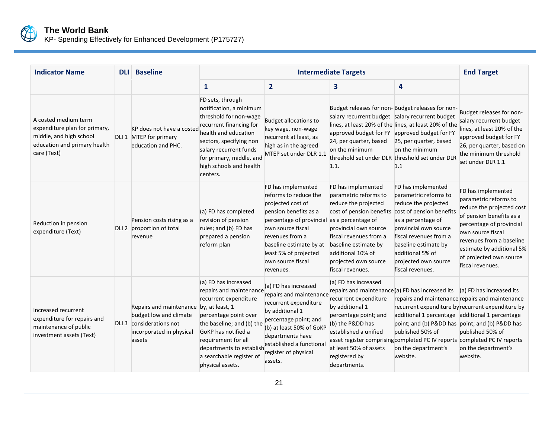

KP- Spending Effectively for Enhanced Development (P175727)

| <b>Indicator Name</b>                                                                                                           | <b>DLI</b> | <b>Baseline</b>                                                                                                     |                                                                                                                                                                                                                                                                             | <b>Intermediate Targets</b>                                                                                                                                                                                                                                            |                                                                                                                                                                                                                                                     |                                                                                                                                                                                                                                                                  |                                                                                                                                                                                                                                                               |  |
|---------------------------------------------------------------------------------------------------------------------------------|------------|---------------------------------------------------------------------------------------------------------------------|-----------------------------------------------------------------------------------------------------------------------------------------------------------------------------------------------------------------------------------------------------------------------------|------------------------------------------------------------------------------------------------------------------------------------------------------------------------------------------------------------------------------------------------------------------------|-----------------------------------------------------------------------------------------------------------------------------------------------------------------------------------------------------------------------------------------------------|------------------------------------------------------------------------------------------------------------------------------------------------------------------------------------------------------------------------------------------------------------------|---------------------------------------------------------------------------------------------------------------------------------------------------------------------------------------------------------------------------------------------------------------|--|
|                                                                                                                                 |            |                                                                                                                     | 1                                                                                                                                                                                                                                                                           | $\overline{2}$                                                                                                                                                                                                                                                         | 3                                                                                                                                                                                                                                                   | 4                                                                                                                                                                                                                                                                |                                                                                                                                                                                                                                                               |  |
| A costed medium term<br>expenditure plan for primary,<br>middle, and high school<br>education and primary health<br>care (Text) |            | KP does not have a costed<br>DLI 1 MTEP for primary<br>education and PHC.                                           | FD sets, through<br>notification, a minimum<br>threshold for non-wage<br>recurrent financing for<br>health and education<br>sectors, specifying non<br>salary recurrent funds<br>for primary, middle, and<br>high schools and health<br>centers.                            | <b>Budget allocations to</b><br>key wage, non-wage<br>recurrent at least, as<br>high as in the agreed<br>MTEP set under DLR 1.1                                                                                                                                        | salary recurrent budget salary recurrent budget<br>approved budget for FY approved budget for FY<br>24, per quarter, based<br>on the minimum<br>threshold set under DLR threshold set under DLR<br>1.1.                                             | Budget releases for non-Budget releases for non-<br>lines, at least 20% of the lines, at least 20% of the<br>25, per quarter, based<br>on the minimum<br>1.1                                                                                                     | Budget releases for non-<br>salary recurrent budget<br>lines, at least 20% of the<br>approved budget for FY<br>26, per quarter, based on<br>the minimum threshold<br>set under DLR 1.1                                                                        |  |
| Reduction in pension<br>expenditure (Text)                                                                                      |            | Pension costs rising as a<br>DLI 2 proportion of total<br>revenue                                                   | (a) FD has completed<br>revision of pension<br>rules; and (b) FD has<br>prepared a pension<br>reform plan                                                                                                                                                                   | FD has implemented<br>reforms to reduce the<br>projected cost of<br>pension benefits as a<br>percentage of provincial as a percentage of<br>own source fiscal<br>revenues from a<br>baseline estimate by at<br>least 5% of projected<br>own source fiscal<br>revenues. | FD has implemented<br>parametric reforms to<br>reduce the projected<br>cost of pension benefits<br>provincial own source<br>fiscal revenues from a<br>baseline estimate by<br>additional 10% of<br>projected own source<br>fiscal revenues.         | FD has implemented<br>parametric reforms to<br>reduce the projected<br>cost of pension benefits<br>as a percentage of<br>provincial own source<br>fiscal revenues from a<br>baseline estimate by<br>additional 5% of<br>projected own source<br>fiscal revenues. | FD has implemented<br>parametric reforms to<br>reduce the projected cost<br>of pension benefits as a<br>percentage of provincial<br>own source fiscal<br>revenues from a baseline<br>estimate by additional 5%<br>of projected own source<br>fiscal revenues. |  |
| Increased recurrent<br>expenditure for repairs and<br>maintenance of public<br>investment assets (Text)                         |            | Repairs and maintenance<br>budget low and climate<br>DLI 3 considerations not<br>incorporated in physical<br>assets | (a) FD has increased<br>repairs and maintenance<br>recurrent expenditure<br>by, at least, 1<br>percentage point over<br>the baseline; and (b) the<br>GoKP has notified a<br>requirement for all<br>departments to establish<br>a searchable register of<br>physical assets. | (a) FD has increased<br>repairs and maintenance<br>recurrent expenditure<br>by additional 1<br>percentage point; and<br>(b) at least 50% of GoKP<br>departments have<br>established a functiona<br>register of physical<br>assets.                                     | (a) FD has increased<br>repairs and maintenance (a) FD has increased its<br>recurrent expenditure<br>by additional 1<br>percentage point; and<br>(b) the Pⅅ has<br>established a unified<br>at least 50% of assets<br>registered by<br>departments. | additional 1 percentage additional 1 percentage<br>point; and (b) Pⅅ has point; and (b) Pⅅ has<br>published 50% of<br>asset register comprising completed PC IV reports completed PC IV reports<br>on the department's<br>website.                               | (a) FD has increased its<br>repairs and maintenance repairs and maintenance<br>recurrent expenditure by recurrent expenditure by<br>published 50% of<br>on the department's<br>website.                                                                       |  |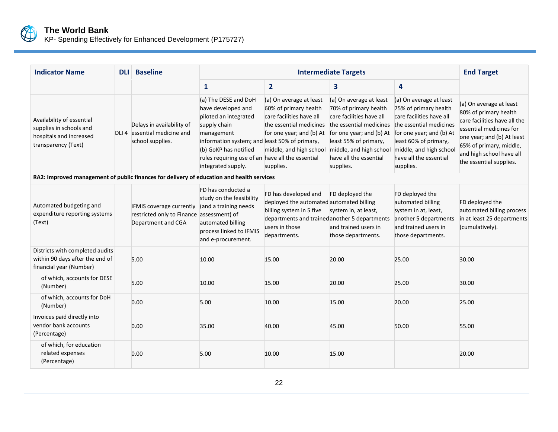

KP- Spending Effectively for Enhanced Development (P175727)

| <b>Indicator Name</b>                                                                                  | <b>DLI</b> | <b>Baseline</b>                                                                             |                                                                                                                                                                                                                                                       | <b>Intermediate Targets</b>                                                                                                                                                                                                 |                                                                                                                                                                          |                                                                                                                                                                                                                                |                                                                                                                                                                                                                             |  |
|--------------------------------------------------------------------------------------------------------|------------|---------------------------------------------------------------------------------------------|-------------------------------------------------------------------------------------------------------------------------------------------------------------------------------------------------------------------------------------------------------|-----------------------------------------------------------------------------------------------------------------------------------------------------------------------------------------------------------------------------|--------------------------------------------------------------------------------------------------------------------------------------------------------------------------|--------------------------------------------------------------------------------------------------------------------------------------------------------------------------------------------------------------------------------|-----------------------------------------------------------------------------------------------------------------------------------------------------------------------------------------------------------------------------|--|
|                                                                                                        |            |                                                                                             | $\mathbf{1}$                                                                                                                                                                                                                                          | $\overline{2}$                                                                                                                                                                                                              | 3                                                                                                                                                                        | 4                                                                                                                                                                                                                              |                                                                                                                                                                                                                             |  |
| Availability of essential<br>supplies in schools and<br>hospitals and increased<br>transparency (Text) |            | Delays in availability of<br>DLI 4 essential medicine and<br>school supplies.               | (a) The DESE and DoH<br>have developed and<br>piloted an integrated<br>supply chain<br>management<br>information system; and least 50% of primary,<br>(b) GoKP has notified<br>rules requiring use of an have all the essential<br>integrated supply. | (a) On average at least<br>60% of primary health<br>care facilities have all<br>the essential medicines the essential medicines<br>for one year; and (b) At<br>middle, and high school middle, and high school<br>supplies. | (a) On average at least<br>70% of primary health<br>care facilities have all<br>for one year; and (b) At<br>least 55% of primary,<br>have all the essential<br>supplies. | (a) On average at least<br>75% of primary health<br>care facilities have all<br>the essential medicines<br>for one year; and (b) At<br>least 60% of primary,<br>middle, and high school<br>have all the essential<br>supplies. | (a) On average at least<br>80% of primary health<br>care facilities have all the<br>essential medicines for<br>one year; and (b) At least<br>65% of primary, middle,<br>and high school have all<br>the essential supplies. |  |
| RA2: Improved management of public finances for delivery of education and health services              |            |                                                                                             |                                                                                                                                                                                                                                                       |                                                                                                                                                                                                                             |                                                                                                                                                                          |                                                                                                                                                                                                                                |                                                                                                                                                                                                                             |  |
| Automated budgeting and<br>expenditure reporting systems<br>(Text)                                     |            | IFMIS coverage currently<br>restricted only to Finance assessment) of<br>Department and CGA | FD has conducted a<br>study on the feasibility<br>(and a training needs<br>automated billing<br>process linked to IFMIS<br>and e-procurement.                                                                                                         | FD has developed and<br>deployed the automated automated billing<br>billing system in 5 five<br>departments and trained another 5 departments<br>users in those<br>departments.                                             | FD deployed the<br>system in, at least,<br>and trained users in<br>those departments.                                                                                    | FD deployed the<br>automated billing<br>system in at, least,<br>another 5 departments<br>and trained users in<br>those departments.                                                                                            | FD deployed the<br>automated billing process<br>in at least 25 departments<br>(cumulatively).                                                                                                                               |  |
| Districts with completed audits<br>within 90 days after the end of<br>financial year (Number)          |            | 5.00                                                                                        | 10.00                                                                                                                                                                                                                                                 | 15.00                                                                                                                                                                                                                       | 20.00                                                                                                                                                                    | 25.00                                                                                                                                                                                                                          | 30.00                                                                                                                                                                                                                       |  |
| of which, accounts for DESE<br>(Number)                                                                |            | 5.00                                                                                        | 10.00                                                                                                                                                                                                                                                 | 15.00                                                                                                                                                                                                                       | 20.00                                                                                                                                                                    | 25.00                                                                                                                                                                                                                          | 30.00                                                                                                                                                                                                                       |  |
| of which, accounts for DoH<br>(Number)                                                                 |            | 0.00                                                                                        | 5.00                                                                                                                                                                                                                                                  | 10.00                                                                                                                                                                                                                       | 15.00                                                                                                                                                                    | 20.00                                                                                                                                                                                                                          | 25.00                                                                                                                                                                                                                       |  |
| Invoices paid directly into<br>vendor bank accounts<br>(Percentage)                                    |            | 0.00                                                                                        | 35.00                                                                                                                                                                                                                                                 | 40.00                                                                                                                                                                                                                       | 45.00                                                                                                                                                                    | 50.00                                                                                                                                                                                                                          | 55.00                                                                                                                                                                                                                       |  |
| of which, for education<br>related expenses<br>(Percentage)                                            |            | 0.00                                                                                        | 5.00                                                                                                                                                                                                                                                  | 10.00                                                                                                                                                                                                                       | 15.00                                                                                                                                                                    |                                                                                                                                                                                                                                | 20.00                                                                                                                                                                                                                       |  |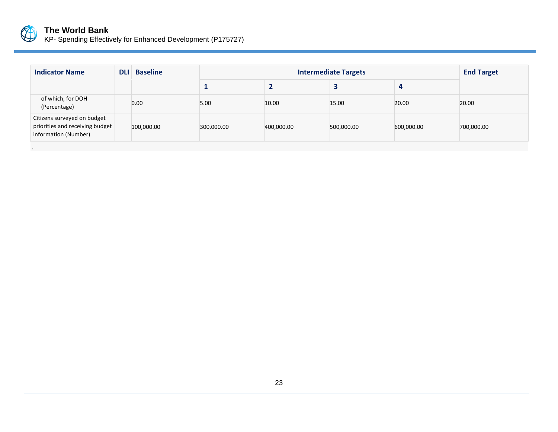

.

#### **The World Bank**

KP- Spending Effectively for Enhanced Development (P175727)

| <b>Indicator Name</b>                                                                  | <b>DLI</b> | <b>Baseline</b> |            | <b>Intermediate Targets</b> |            |            |            |  |
|----------------------------------------------------------------------------------------|------------|-----------------|------------|-----------------------------|------------|------------|------------|--|
|                                                                                        |            |                 |            |                             |            | 4          |            |  |
| of which, for DOH<br>(Percentage)                                                      |            | 0.00            | 5.00       | 10.00                       | 15.00      | 20.00      | 20.00      |  |
| Citizens surveyed on budget<br>priorities and receiving budget<br>information (Number) |            | 100,000.00      | 300,000.00 | 400,000.00                  | 500,000.00 | 600,000.00 | 700,000.00 |  |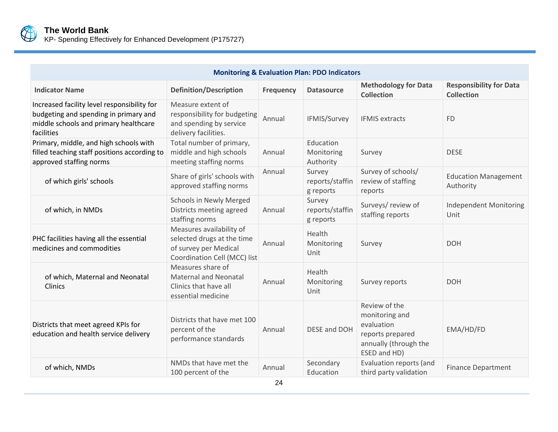

| KP- Spending Effectively for Enhanced Development (P175727) |  |
|-------------------------------------------------------------|--|

| <b>Monitoring &amp; Evaluation Plan: PDO Indicators</b>                                                                                     |                                                                                                                 |                  |                                        |                                                                                                            |                                                     |  |
|---------------------------------------------------------------------------------------------------------------------------------------------|-----------------------------------------------------------------------------------------------------------------|------------------|----------------------------------------|------------------------------------------------------------------------------------------------------------|-----------------------------------------------------|--|
| <b>Indicator Name</b>                                                                                                                       | <b>Definition/Description</b>                                                                                   | <b>Frequency</b> | <b>Datasource</b>                      | <b>Methodology for Data</b><br><b>Collection</b>                                                           | <b>Responsibility for Data</b><br><b>Collection</b> |  |
| Increased facility level responsibility for<br>budgeting and spending in primary and<br>middle schools and primary healthcare<br>facilities | Measure extent of<br>responsibility for budgeting<br>and spending by service<br>delivery facilities.            | Annual           | IFMIS/Survey                           | <b>IFMIS extracts</b>                                                                                      | <b>FD</b>                                           |  |
| Primary, middle, and high schools with<br>filled teaching staff positions according to<br>approved staffing norms                           | Total number of primary,<br>middle and high schools<br>meeting staffing norms                                   | Annual           | Education<br>Monitoring<br>Authority   | Survey                                                                                                     | <b>DESE</b>                                         |  |
| of which girls' schools                                                                                                                     | Share of girls' schools with<br>approved staffing norms                                                         | Annual           | Survey<br>reports/staffin<br>g reports | Survey of schools/<br>review of staffing<br>reports                                                        | <b>Education Management</b><br>Authority            |  |
| of which, in NMDs                                                                                                                           | <b>Schools in Newly Merged</b><br>Districts meeting agreed<br>staffing norms                                    | Annual           | Survey<br>reports/staffin<br>g reports | Surveys/ review of<br>staffing reports                                                                     | <b>Independent Monitoring</b><br>Unit               |  |
| PHC facilities having all the essential<br>medicines and commodities                                                                        | Measures availability of<br>selected drugs at the time<br>of survey per Medical<br>Coordination Cell (MCC) list | Annual           | Health<br>Monitoring<br>Unit           | Survey                                                                                                     | <b>DOH</b>                                          |  |
| of which, Maternal and Neonatal<br>Clinics                                                                                                  | Measures share of<br><b>Maternal and Neonatal</b><br>Clinics that have all<br>essential medicine                | Annual           | Health<br>Monitoring<br>Unit           | Survey reports                                                                                             | <b>DOH</b>                                          |  |
| Districts that meet agreed KPIs for<br>education and health service delivery                                                                | Districts that have met 100<br>percent of the<br>performance standards                                          | Annual           | DESE and DOH                           | Review of the<br>monitoring and<br>evaluation<br>reports prepared<br>annually (through the<br>ESED and HD) | EMA/HD/FD                                           |  |
| of which, NMDs                                                                                                                              | NMDs that have met the<br>100 percent of the                                                                    | Annual           | Secondary<br>Education                 | Evaluation reports (and<br>third party validation                                                          | <b>Finance Department</b>                           |  |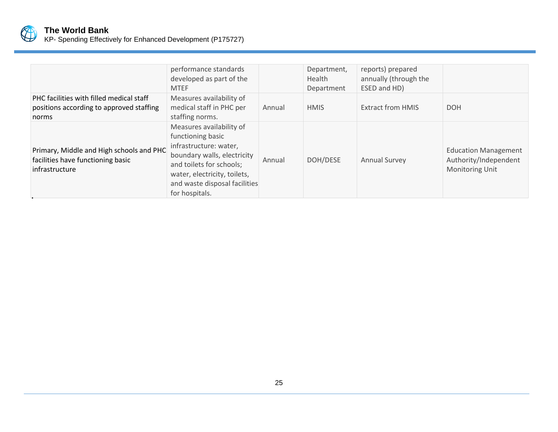

|                                                                                                 | performance standards<br>developed as part of the<br><b>MTEF</b>                                                                                                                                                      |        | Department,<br>Health<br>Department | reports) prepared<br>annually (through the<br>ESED and HD) |                                                                                |
|-------------------------------------------------------------------------------------------------|-----------------------------------------------------------------------------------------------------------------------------------------------------------------------------------------------------------------------|--------|-------------------------------------|------------------------------------------------------------|--------------------------------------------------------------------------------|
| PHC facilities with filled medical staff<br>positions according to approved staffing<br>norms   | Measures availability of<br>medical staff in PHC per<br>staffing norms.                                                                                                                                               | Annual | <b>HMIS</b>                         | <b>Extract from HMIS</b>                                   | <b>DOH</b>                                                                     |
| Primary, Middle and High schools and PHC<br>facilities have functioning basic<br>infrastructure | Measures availability of<br>functioning basic<br>infrastructure: water,<br>boundary walls, electricity<br>and toilets for schools;<br>water, electricity, toilets,<br>and waste disposal facilities<br>for hospitals. | Annual | DOH/DESE                            | <b>Annual Survey</b>                                       | <b>Education Management</b><br>Authority/Independent<br><b>Monitoring Unit</b> |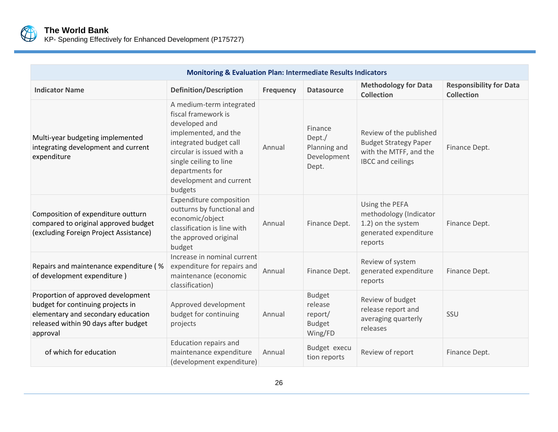

KP- Spending Effectively for Enhanced Development (P175727)

| <b>Monitoring &amp; Evaluation Plan: Intermediate Results Indicators</b>                                                                                          |                                                                                                                                                                                                                                    |                  |                                                                 |                                                                                                               |                                                     |  |
|-------------------------------------------------------------------------------------------------------------------------------------------------------------------|------------------------------------------------------------------------------------------------------------------------------------------------------------------------------------------------------------------------------------|------------------|-----------------------------------------------------------------|---------------------------------------------------------------------------------------------------------------|-----------------------------------------------------|--|
| <b>Indicator Name</b>                                                                                                                                             | <b>Definition/Description</b>                                                                                                                                                                                                      | <b>Frequency</b> | <b>Datasource</b>                                               | <b>Methodology for Data</b><br><b>Collection</b>                                                              | <b>Responsibility for Data</b><br><b>Collection</b> |  |
| Multi-year budgeting implemented<br>integrating development and current<br>expenditure                                                                            | A medium-term integrated<br>fiscal framework is<br>developed and<br>implemented, and the<br>integrated budget call<br>circular is issued with a<br>single ceiling to line<br>departments for<br>development and current<br>budgets | Annual           | Finance<br>Dept./<br>Planning and<br>Development<br>Dept.       | Review of the published<br><b>Budget Strategy Paper</b><br>with the MTFF, and the<br><b>IBCC</b> and ceilings | Finance Dept.                                       |  |
| Composition of expenditure outturn<br>compared to original approved budget<br>(excluding Foreign Project Assistance)                                              | <b>Expenditure composition</b><br>outturns by functional and<br>economic/object<br>classification is line with<br>the approved original<br>budget                                                                                  | Annual           | Finance Dept.                                                   | Using the PEFA<br>methodology (Indicator<br>1.2) on the system<br>generated expenditure<br>reports            | Finance Dept.                                       |  |
| Repairs and maintenance expenditure (%<br>of development expenditure)                                                                                             | Increase in nominal current<br>expenditure for repairs and<br>maintenance (economic<br>classification)                                                                                                                             | Annual           | Finance Dept.                                                   | Review of system<br>generated expenditure<br>reports                                                          | Finance Dept.                                       |  |
| Proportion of approved development<br>budget for continuing projects in<br>elementary and secondary education<br>released within 90 days after budget<br>approval | Approved development<br>budget for continuing<br>projects                                                                                                                                                                          | Annual           | <b>Budget</b><br>release<br>report/<br><b>Budget</b><br>Wing/FD | Review of budget<br>release report and<br>averaging quarterly<br>releases                                     | SSU                                                 |  |
| of which for education                                                                                                                                            | <b>Education repairs and</b><br>maintenance expenditure<br>(development expenditure)                                                                                                                                               | Annual           | Budget execu<br>tion reports                                    | Review of report                                                                                              | Finance Dept.                                       |  |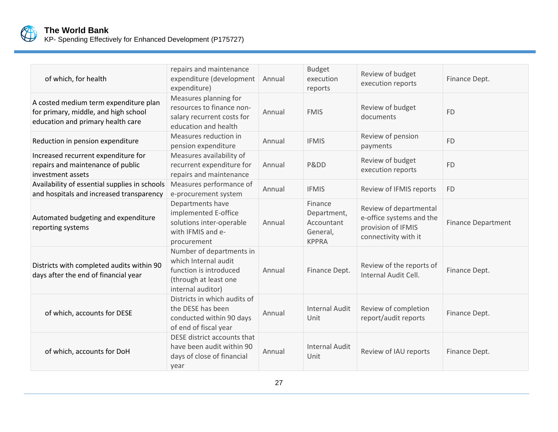

| of which, for health                                                                                               | repairs and maintenance<br>expenditure (development<br>expenditure)                                                      | Annual | <b>Budget</b><br>execution<br>reports                            | Review of budget<br>execution reports                                                            | Finance Dept.             |
|--------------------------------------------------------------------------------------------------------------------|--------------------------------------------------------------------------------------------------------------------------|--------|------------------------------------------------------------------|--------------------------------------------------------------------------------------------------|---------------------------|
| A costed medium term expenditure plan<br>for primary, middle, and high school<br>education and primary health care | Measures planning for<br>resources to finance non-<br>salary recurrent costs for<br>education and health                 | Annual | <b>FMIS</b>                                                      | Review of budget<br>documents                                                                    | <b>FD</b>                 |
| Reduction in pension expenditure                                                                                   | Measures reduction in<br>pension expenditure                                                                             | Annual | <b>IFMIS</b>                                                     | Review of pension<br>payments                                                                    | <b>FD</b>                 |
| Increased recurrent expenditure for<br>repairs and maintenance of public<br>investment assets                      | Measures availability of<br>recurrent expenditure for<br>repairs and maintenance                                         | Annual | Pⅅ                                                               | Review of budget<br>execution reports                                                            | <b>FD</b>                 |
| Availability of essential supplies in schools<br>and hospitals and increased transparency                          | Measures performance of<br>e-procurement system                                                                          | Annual | <b>IFMIS</b>                                                     | Review of IFMIS reports                                                                          | <b>FD</b>                 |
| Automated budgeting and expenditure<br>reporting systems                                                           | Departments have<br>implemented E-office<br>solutions inter-operable<br>with IFMIS and e-<br>procurement                 | Annual | Finance<br>Department,<br>Accountant<br>General,<br><b>KPPRA</b> | Review of departmental<br>e-office systems and the<br>provision of IFMIS<br>connectivity with it | <b>Finance Department</b> |
| Districts with completed audits within 90<br>days after the end of financial year                                  | Number of departments in<br>which Internal audit<br>function is introduced<br>(through at least one<br>internal auditor) | Annual | Finance Dept.                                                    | Review of the reports of<br>Internal Audit Cell.                                                 | Finance Dept.             |
| of which, accounts for DESE                                                                                        | Districts in which audits of<br>the DESE has been<br>conducted within 90 days<br>of end of fiscal year                   | Annual | <b>Internal Audit</b><br>Unit                                    | Review of completion<br>report/audit reports                                                     | Finance Dept.             |
| of which, accounts for DoH                                                                                         | DESE district accounts that<br>have been audit within 90<br>days of close of financial<br>year                           | Annual | <b>Internal Audit</b><br>Unit                                    | Review of IAU reports                                                                            | Finance Dept.             |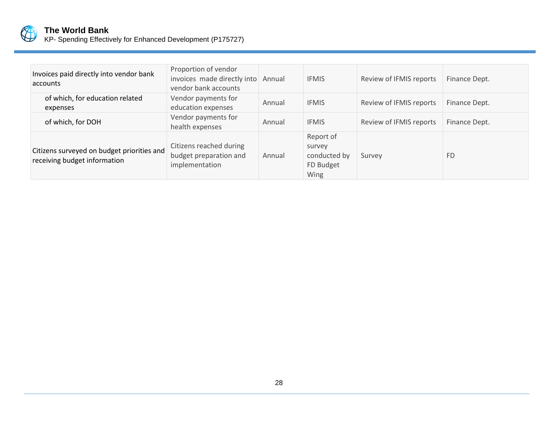

| Invoices paid directly into vendor bank<br>accounts                        | Proportion of vendor<br>invoices made directly into<br>vendor bank accounts | Annual | <b>IFMIS</b>                                             | Review of IFMIS reports | Finance Dept. |
|----------------------------------------------------------------------------|-----------------------------------------------------------------------------|--------|----------------------------------------------------------|-------------------------|---------------|
| of which, for education related<br>expenses                                | Vendor payments for<br>education expenses                                   | Annual | <b>IFMIS</b>                                             | Review of IFMIS reports | Finance Dept. |
| of which, for DOH                                                          | Vendor payments for<br>health expenses                                      | Annual | <b>IFMIS</b>                                             | Review of IFMIS reports | Finance Dept. |
| Citizens surveyed on budget priorities and<br>receiving budget information | Citizens reached during<br>budget preparation and<br>implementation         | Annual | Report of<br>survey<br>conducted by<br>FD Budget<br>Wing | Survey                  | <b>FD</b>     |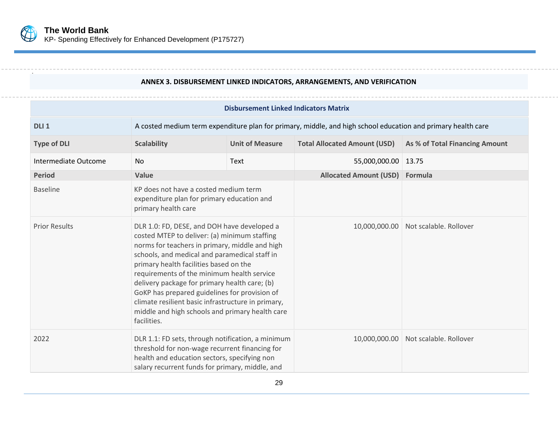

.

.

#### **ANNEX 3. DISBURSEMENT LINKED INDICATORS, ARRANGEMENTS, AND VERIFICATION**

<span id="page-37-0"></span>

| <b>Disbursement Linked Indicators Matrix</b> |                                                                                                                                                                                                                                                                                                                                                                                                                                                                                                                  |  |                                     |                                      |  |  |
|----------------------------------------------|------------------------------------------------------------------------------------------------------------------------------------------------------------------------------------------------------------------------------------------------------------------------------------------------------------------------------------------------------------------------------------------------------------------------------------------------------------------------------------------------------------------|--|-------------------------------------|--------------------------------------|--|--|
| DLI <sub>1</sub>                             | A costed medium term expenditure plan for primary, middle, and high school education and primary health care                                                                                                                                                                                                                                                                                                                                                                                                     |  |                                     |                                      |  |  |
| <b>Type of DLI</b>                           | <b>Unit of Measure</b><br><b>Scalability</b>                                                                                                                                                                                                                                                                                                                                                                                                                                                                     |  | <b>Total Allocated Amount (USD)</b> | As % of Total Financing Amount       |  |  |
| Intermediate Outcome                         | <b>No</b><br>Text                                                                                                                                                                                                                                                                                                                                                                                                                                                                                                |  | 55,000,000.00   13.75               |                                      |  |  |
| <b>Period</b>                                | Value                                                                                                                                                                                                                                                                                                                                                                                                                                                                                                            |  | Allocated Amount (USD) Formula      |                                      |  |  |
| <b>Baseline</b>                              | KP does not have a costed medium term<br>expenditure plan for primary education and<br>primary health care                                                                                                                                                                                                                                                                                                                                                                                                       |  |                                     |                                      |  |  |
| <b>Prior Results</b>                         | DLR 1.0: FD, DESE, and DOH have developed a<br>costed MTEP to deliver: (a) minimum staffing<br>norms for teachers in primary, middle and high<br>schools, and medical and paramedical staff in<br>primary health facilities based on the<br>requirements of the minimum health service<br>delivery package for primary health care; (b)<br>GoKP has prepared guidelines for provision of<br>climate resilient basic infrastructure in primary,<br>middle and high schools and primary health care<br>facilities. |  |                                     | 10,000,000.00 Not scalable. Rollover |  |  |
| 2022                                         | DLR 1.1: FD sets, through notification, a minimum<br>threshold for non-wage recurrent financing for<br>health and education sectors, specifying non<br>salary recurrent funds for primary, middle, and                                                                                                                                                                                                                                                                                                           |  |                                     | 10,000,000.00 Not scalable. Rollover |  |  |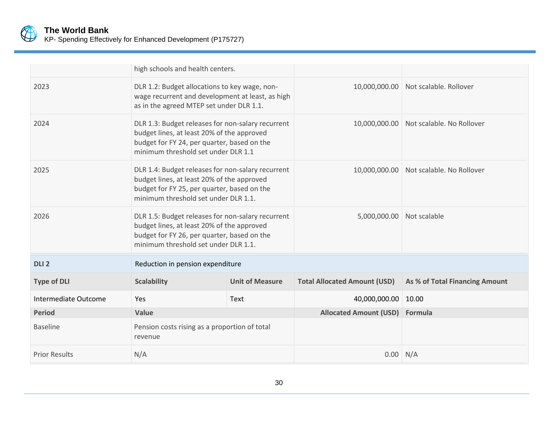

|                      |                                                                                                                                                                                        | high schools and health centers. |                                     |                                |
|----------------------|----------------------------------------------------------------------------------------------------------------------------------------------------------------------------------------|----------------------------------|-------------------------------------|--------------------------------|
| 2023                 | DLR 1.2: Budget allocations to key wage, non-<br>wage recurrent and development at least, as high<br>as in the agreed MTEP set under DLR 1.1.                                          |                                  | 10,000,000.00                       | Not scalable. Rollover         |
| 2024                 | DLR 1.3: Budget releases for non-salary recurrent<br>budget lines, at least 20% of the approved<br>budget for FY 24, per quarter, based on the<br>minimum threshold set under DLR 1.1  |                                  | 10,000,000.00                       | Not scalable. No Rollover      |
| 2025                 | DLR 1.4: Budget releases for non-salary recurrent<br>budget lines, at least 20% of the approved<br>budget for FY 25, per quarter, based on the<br>minimum threshold set under DLR 1.1. |                                  | 10,000,000.00                       | Not scalable. No Rollover      |
| 2026                 | DLR 1.5: Budget releases for non-salary recurrent<br>budget lines, at least 20% of the approved<br>budget for FY 26, per quarter, based on the<br>minimum threshold set under DLR 1.1. |                                  | 5,000,000.00                        | Not scalable                   |
| DLI <sub>2</sub>     | Reduction in pension expenditure                                                                                                                                                       |                                  |                                     |                                |
| <b>Type of DLI</b>   | <b>Scalability</b>                                                                                                                                                                     | <b>Unit of Measure</b>           | <b>Total Allocated Amount (USD)</b> | As % of Total Financing Amount |
| Intermediate Outcome | Yes                                                                                                                                                                                    | Text                             | 40,000,000.00                       | 10.00                          |
| <b>Period</b>        | Value                                                                                                                                                                                  |                                  | <b>Allocated Amount (USD)</b>       | Formula                        |
| <b>Baseline</b>      | Pension costs rising as a proportion of total<br>revenue                                                                                                                               |                                  |                                     |                                |
| <b>Prior Results</b> | N/A                                                                                                                                                                                    |                                  | $0.00$ N/A                          |                                |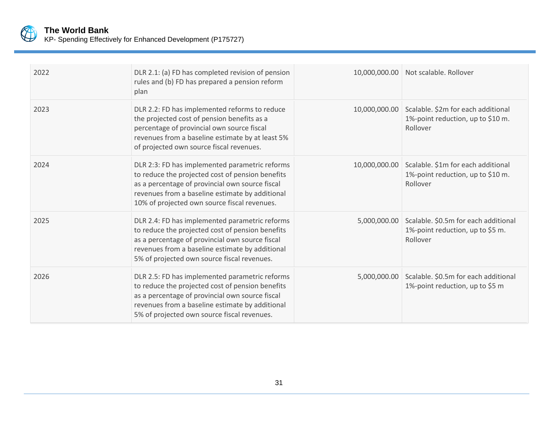

KP- Spending Effectively for Enhanced Development (P175727)

| 2022 | DLR 2.1: (a) FD has completed revision of pension<br>rules and (b) FD has prepared a pension reform<br>plan                                                                                                                                              |              | 10,000,000.00 Not scalable. Rollover                                                              |
|------|----------------------------------------------------------------------------------------------------------------------------------------------------------------------------------------------------------------------------------------------------------|--------------|---------------------------------------------------------------------------------------------------|
| 2023 | DLR 2.2: FD has implemented reforms to reduce<br>the projected cost of pension benefits as a<br>percentage of provincial own source fiscal<br>revenues from a baseline estimate by at least 5%<br>of projected own source fiscal revenues.               |              | 10,000,000.00 Scalable. \$2m for each additional<br>1%-point reduction, up to \$10 m.<br>Rollover |
| 2024 | DLR 2:3: FD has implemented parametric reforms<br>to reduce the projected cost of pension benefits<br>as a percentage of provincial own source fiscal<br>revenues from a baseline estimate by additional<br>10% of projected own source fiscal revenues. |              | 10,000,000.00 Scalable. \$1m for each additional<br>1%-point reduction, up to \$10 m.<br>Rollover |
| 2025 | DLR 2.4: FD has implemented parametric reforms<br>to reduce the projected cost of pension benefits<br>as a percentage of provincial own source fiscal<br>revenues from a baseline estimate by additional<br>5% of projected own source fiscal revenues.  |              | 5,000,000.00 Scalable. \$0.5m for each additional<br>1%-point reduction, up to \$5 m.<br>Rollover |
| 2026 | DLR 2.5: FD has implemented parametric reforms<br>to reduce the projected cost of pension benefits<br>as a percentage of provincial own source fiscal<br>revenues from a baseline estimate by additional<br>5% of projected own source fiscal revenues.  | 5,000,000.00 | Scalable. \$0.5m for each additional<br>1%-point reduction, up to \$5 m                           |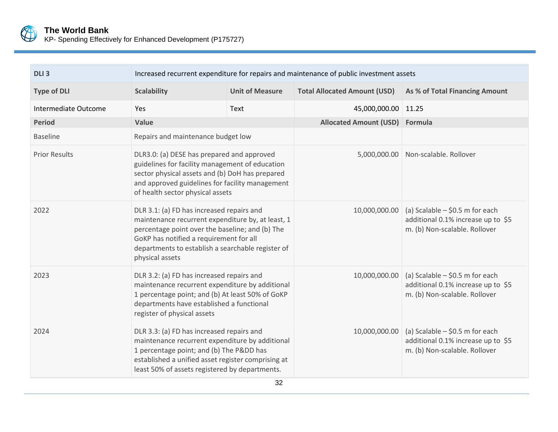

| DLI <sub>3</sub>     | Increased recurrent expenditure for repairs and maintenance of public investment assets                                                                                                                                                                              |                        |                                     |                                                                                                          |  |  |
|----------------------|----------------------------------------------------------------------------------------------------------------------------------------------------------------------------------------------------------------------------------------------------------------------|------------------------|-------------------------------------|----------------------------------------------------------------------------------------------------------|--|--|
| <b>Type of DLI</b>   | <b>Scalability</b>                                                                                                                                                                                                                                                   | <b>Unit of Measure</b> | <b>Total Allocated Amount (USD)</b> | As % of Total Financing Amount                                                                           |  |  |
| Intermediate Outcome | Yes<br>Text                                                                                                                                                                                                                                                          |                        | 45,000,000.00                       | 11.25                                                                                                    |  |  |
| <b>Period</b>        | Value                                                                                                                                                                                                                                                                |                        | <b>Allocated Amount (USD)</b>       | Formula                                                                                                  |  |  |
| <b>Baseline</b>      | Repairs and maintenance budget low                                                                                                                                                                                                                                   |                        |                                     |                                                                                                          |  |  |
| <b>Prior Results</b> | DLR3.0: (a) DESE has prepared and approved<br>guidelines for facility management of education<br>sector physical assets and (b) DoH has prepared<br>and approved guidelines for facility management<br>of health sector physical assets                              |                        | 5,000,000.00                        | Non-scalable. Rollover                                                                                   |  |  |
| 2022                 | DLR 3.1: (a) FD has increased repairs and<br>maintenance recurrent expenditure by, at least, 1<br>percentage point over the baseline; and (b) The<br>GoKP has notified a requirement for all<br>departments to establish a searchable register of<br>physical assets |                        | 10,000,000.00                       | (a) Scalable $-$ \$0.5 m for each<br>additional 0.1% increase up to \$5<br>m. (b) Non-scalable. Rollover |  |  |
| 2023                 | DLR 3.2: (a) FD has increased repairs and<br>maintenance recurrent expenditure by additional<br>1 percentage point; and (b) At least 50% of GoKP<br>departments have established a functional<br>register of physical assets                                         |                        | 10,000,000.00                       | (a) Scalable $-$ \$0.5 m for each<br>additional 0.1% increase up to \$5<br>m. (b) Non-scalable. Rollover |  |  |
| 2024                 | DLR 3.3: (a) FD has increased repairs and<br>maintenance recurrent expenditure by additional<br>1 percentage point; and (b) The Pⅅ has<br>established a unified asset register comprising at<br>least 50% of assets registered by departments.                       |                        | 10,000,000.00                       | (a) Scalable $-$ \$0.5 m for each<br>additional 0.1% increase up to \$5<br>m. (b) Non-scalable. Rollover |  |  |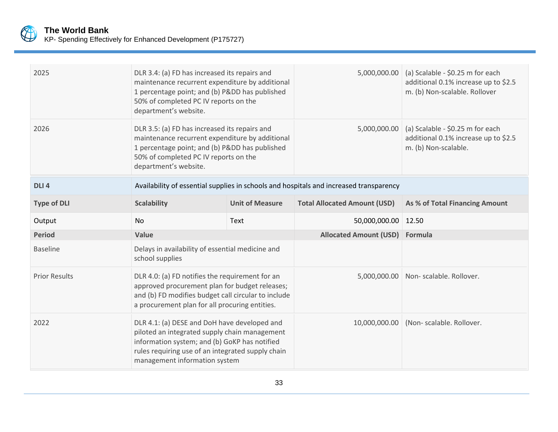

| 2025                 | DLR 3.4: (a) FD has increased its repairs and<br>maintenance recurrent expenditure by additional<br>1 percentage point; and (b) Pⅅ has published<br>50% of completed PC IV reports on the<br>department's website.                                                                     |  | 5,000,000.00                                                                           | (a) Scalable - \$0.25 m for each<br>additional 0.1% increase up to \$2.5<br>m. (b) Non-scalable. Rollover |
|----------------------|----------------------------------------------------------------------------------------------------------------------------------------------------------------------------------------------------------------------------------------------------------------------------------------|--|----------------------------------------------------------------------------------------|-----------------------------------------------------------------------------------------------------------|
| 2026                 | DLR 3.5: (a) FD has increased its repairs and<br>maintenance recurrent expenditure by additional<br>1 percentage point; and (b) Pⅅ has published<br>50% of completed PC IV reports on the<br>department's website.                                                                     |  | 5,000,000.00                                                                           | (a) Scalable - \$0.25 m for each<br>additional 0.1% increase up to \$2.5<br>m. (b) Non-scalable.          |
| DLI <sub>4</sub>     |                                                                                                                                                                                                                                                                                        |  | Availability of essential supplies in schools and hospitals and increased transparency |                                                                                                           |
| <b>Type of DLI</b>   | <b>Scalability</b><br><b>Unit of Measure</b>                                                                                                                                                                                                                                           |  | <b>Total Allocated Amount (USD)</b>                                                    | As % of Total Financing Amount                                                                            |
| Output               | <b>No</b><br>Text                                                                                                                                                                                                                                                                      |  | 50,000,000.00                                                                          | 12.50                                                                                                     |
| <b>Period</b>        | Value                                                                                                                                                                                                                                                                                  |  | <b>Allocated Amount (USD)</b>                                                          | Formula                                                                                                   |
| <b>Baseline</b>      | Delays in availability of essential medicine and<br>school supplies                                                                                                                                                                                                                    |  |                                                                                        |                                                                                                           |
| <b>Prior Results</b> | DLR 4.0: (a) FD notifies the requirement for an<br>approved procurement plan for budget releases;<br>and (b) FD modifies budget call circular to include                                                                                                                               |  |                                                                                        | 5,000,000.00 Non- scalable. Rollover.                                                                     |
| 2022                 | a procurement plan for all procuring entities.<br>DLR 4.1: (a) DESE and DoH have developed and<br>piloted an integrated supply chain management<br>information system; and (b) GoKP has notified<br>rules requiring use of an integrated supply chain<br>management information system |  | 10,000,000.00                                                                          | (Non-scalable. Rollover.                                                                                  |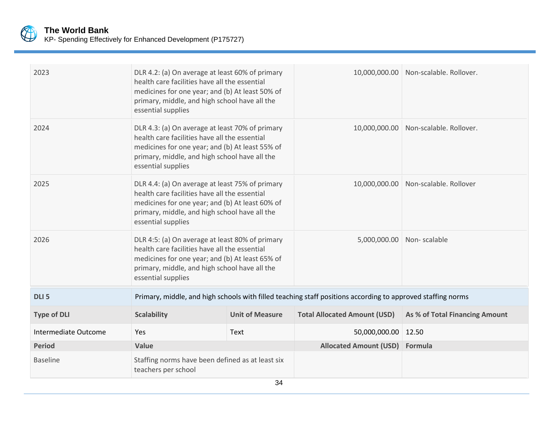

| 2023                 | DLR 4.2: (a) On average at least 60% of primary<br>health care facilities have all the essential<br>medicines for one year; and (b) At least 50% of<br>primary, middle, and high school have all the<br>essential supplies |                        |                                                                                                             | 10,000,000.00 Non-scalable. Rollover.   |
|----------------------|----------------------------------------------------------------------------------------------------------------------------------------------------------------------------------------------------------------------------|------------------------|-------------------------------------------------------------------------------------------------------------|-----------------------------------------|
| 2024                 | DLR 4.3: (a) On average at least 70% of primary<br>health care facilities have all the essential<br>medicines for one year; and (b) At least 55% of<br>primary, middle, and high school have all the<br>essential supplies |                        |                                                                                                             | 10,000,000.00   Non-scalable. Rollover. |
| 2025                 | DLR 4.4: (a) On average at least 75% of primary<br>health care facilities have all the essential<br>medicines for one year; and (b) At least 60% of<br>primary, middle, and high school have all the<br>essential supplies |                        |                                                                                                             | 10,000,000.00 Non-scalable. Rollover    |
| 2026                 | DLR 4:5: (a) On average at least 80% of primary<br>health care facilities have all the essential<br>medicines for one year; and (b) At least 65% of<br>primary, middle, and high school have all the<br>essential supplies |                        | 5,000,000.00                                                                                                | Non-scalable                            |
| DLI <sub>5</sub>     |                                                                                                                                                                                                                            |                        | Primary, middle, and high schools with filled teaching staff positions according to approved staffing norms |                                         |
| <b>Type of DLI</b>   | <b>Scalability</b>                                                                                                                                                                                                         | <b>Unit of Measure</b> | <b>Total Allocated Amount (USD)</b>                                                                         | As % of Total Financing Amount          |
| Intermediate Outcome | Yes                                                                                                                                                                                                                        | Text                   | 50,000,000.00                                                                                               | 12.50                                   |
| <b>Period</b>        | Value                                                                                                                                                                                                                      |                        | <b>Allocated Amount (USD)</b>                                                                               | Formula                                 |
| <b>Baseline</b>      | Staffing norms have been defined as at least six<br>teachers per school                                                                                                                                                    | $\sim$ $\lambda$       |                                                                                                             |                                         |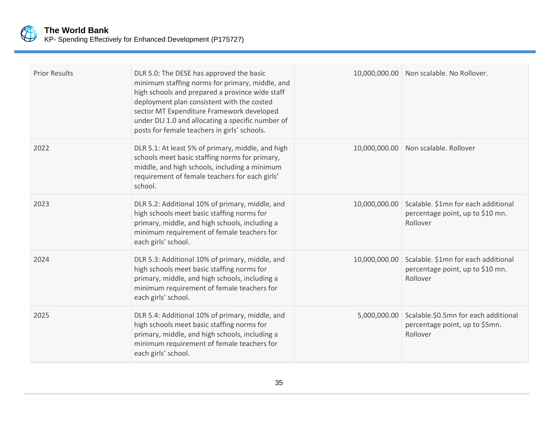

| <b>Prior Results</b> | DLR 5.0: The DESE has approved the basic<br>minimum staffing norms for primary, middle, and<br>high schools and prepared a province wide staff<br>deployment plan consistent with the costed<br>sector MT Expenditure Framework developed<br>under DLI 1.0 and allocating a specific number of<br>posts for female teachers in girls' schools. |               | 10,000,000.00 Non scalable. No Rollover.                                            |
|----------------------|------------------------------------------------------------------------------------------------------------------------------------------------------------------------------------------------------------------------------------------------------------------------------------------------------------------------------------------------|---------------|-------------------------------------------------------------------------------------|
| 2022                 | DLR 5.1: At least 5% of primary, middle, and high<br>schools meet basic staffing norms for primary,<br>middle, and high schools, including a minimum<br>requirement of female teachers for each girls'<br>school.                                                                                                                              |               | 10,000,000.00 Non scalable. Rollover                                                |
| 2023                 | DLR 5.2: Additional 10% of primary, middle, and<br>high schools meet basic staffing norms for<br>primary, middle, and high schools, including a<br>minimum requirement of female teachers for<br>each girls' school.                                                                                                                           | 10,000,000.00 | Scalable. \$1mn for each additional<br>percentage point, up to \$10 mn.<br>Rollover |
| 2024                 | DLR 5.3: Additional 10% of primary, middle, and<br>high schools meet basic staffing norms for<br>primary, middle, and high schools, including a<br>minimum requirement of female teachers for<br>each girls' school.                                                                                                                           | 10,000,000.00 | Scalable. \$1mn for each additional<br>percentage point, up to \$10 mn.<br>Rollover |
| 2025                 | DLR 5.4: Additional 10% of primary, middle, and<br>high schools meet basic staffing norms for<br>primary, middle, and high schools, including a<br>minimum requirement of female teachers for<br>each girls' school.                                                                                                                           | 5,000,000.00  | Scalable.\$0.5mn for each additional<br>percentage point, up to \$5mn.<br>Rollover  |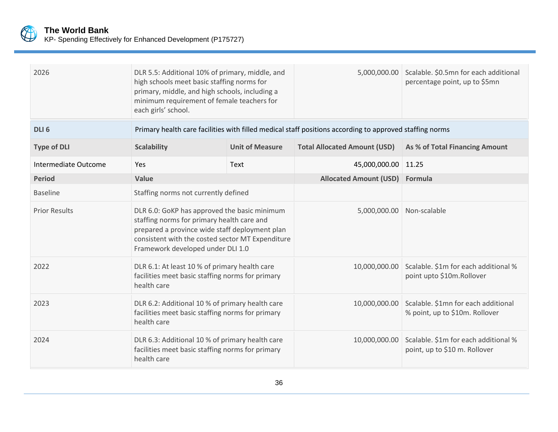

| 2026                 | DLR 5.5: Additional 10% of primary, middle, and<br>high schools meet basic staffing norms for<br>primary, middle, and high schools, including a<br>minimum requirement of female teachers for<br>each girls' school.                  |                        | 5,000,000.00                                                                                            | Scalable. \$0.5mn for each additional<br>percentage point, up to \$5mn |
|----------------------|---------------------------------------------------------------------------------------------------------------------------------------------------------------------------------------------------------------------------------------|------------------------|---------------------------------------------------------------------------------------------------------|------------------------------------------------------------------------|
| DLI <sub>6</sub>     |                                                                                                                                                                                                                                       |                        | Primary health care facilities with filled medical staff positions according to approved staffing norms |                                                                        |
| <b>Type of DLI</b>   | <b>Scalability</b>                                                                                                                                                                                                                    | <b>Unit of Measure</b> | <b>Total Allocated Amount (USD)</b>                                                                     | As % of Total Financing Amount                                         |
| Intermediate Outcome | Yes                                                                                                                                                                                                                                   | Text                   | 45,000,000.00                                                                                           | 11.25                                                                  |
| <b>Period</b>        | Value                                                                                                                                                                                                                                 |                        | <b>Allocated Amount (USD)</b>                                                                           | Formula                                                                |
| <b>Baseline</b>      | Staffing norms not currently defined                                                                                                                                                                                                  |                        |                                                                                                         |                                                                        |
| <b>Prior Results</b> | DLR 6.0: GoKP has approved the basic minimum<br>staffing norms for primary health care and<br>prepared a province wide staff deployment plan<br>consistent with the costed sector MT Expenditure<br>Framework developed under DLI 1.0 |                        | 5,000,000.00                                                                                            | Non-scalable                                                           |
| 2022                 | DLR 6.1: At least 10 % of primary health care<br>facilities meet basic staffing norms for primary<br>health care                                                                                                                      |                        | 10,000,000.00                                                                                           | Scalable. \$1m for each additional %<br>point upto \$10m.Rollover      |
| 2023                 | DLR 6.2: Additional 10 % of primary health care<br>facilities meet basic staffing norms for primary<br>health care                                                                                                                    |                        | 10,000,000.00                                                                                           | Scalable. \$1mn for each additional<br>% point, up to \$10m. Rollover  |
| 2024                 | DLR 6.3: Additional 10 % of primary health care<br>facilities meet basic staffing norms for primary<br>health care                                                                                                                    |                        | 10,000,000.00                                                                                           | Scalable. \$1m for each additional %<br>point, up to \$10 m. Rollover  |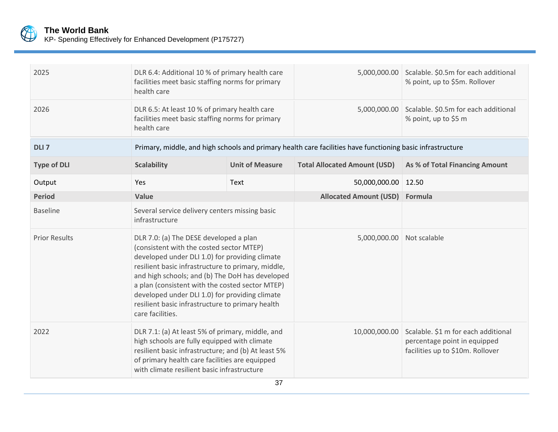

| KP- Spending Effectively for Enhanced Development (P175727) |  |  |  |  |
|-------------------------------------------------------------|--|--|--|--|
|-------------------------------------------------------------|--|--|--|--|

| 2025                 | DLR 6.4: Additional 10 % of primary health care<br>facilities meet basic staffing norms for primary<br>health care                                                                                                                                                                                                                                                                                                         |                        | 5,000,000.00                                                                                               | Scalable. \$0.5m for each additional<br>% point, up to \$5m. Rollover                                   |
|----------------------|----------------------------------------------------------------------------------------------------------------------------------------------------------------------------------------------------------------------------------------------------------------------------------------------------------------------------------------------------------------------------------------------------------------------------|------------------------|------------------------------------------------------------------------------------------------------------|---------------------------------------------------------------------------------------------------------|
| 2026                 | DLR 6.5: At least 10 % of primary health care<br>facilities meet basic staffing norms for primary<br>health care                                                                                                                                                                                                                                                                                                           |                        | 5,000,000.00                                                                                               | Scalable. \$0.5m for each additional<br>% point, up to \$5 m                                            |
| DLI <sub>7</sub>     |                                                                                                                                                                                                                                                                                                                                                                                                                            |                        | Primary, middle, and high schools and primary health care facilities have functioning basic infrastructure |                                                                                                         |
| <b>Type of DLI</b>   | <b>Scalability</b>                                                                                                                                                                                                                                                                                                                                                                                                         | <b>Unit of Measure</b> | <b>Total Allocated Amount (USD)</b>                                                                        | As % of Total Financing Amount                                                                          |
| Output               | Yes<br>Text                                                                                                                                                                                                                                                                                                                                                                                                                |                        | 50,000,000.00                                                                                              | 12.50                                                                                                   |
| <b>Period</b>        | Value                                                                                                                                                                                                                                                                                                                                                                                                                      |                        | <b>Allocated Amount (USD)</b>                                                                              | Formula                                                                                                 |
| <b>Baseline</b>      | Several service delivery centers missing basic<br>infrastructure                                                                                                                                                                                                                                                                                                                                                           |                        |                                                                                                            |                                                                                                         |
| <b>Prior Results</b> | DLR 7.0: (a) The DESE developed a plan<br>(consistent with the costed sector MTEP)<br>developed under DLI 1.0) for providing climate<br>resilient basic infrastructure to primary, middle,<br>and high schools; and (b) The DoH has developed<br>a plan (consistent with the costed sector MTEP)<br>developed under DLI 1.0) for providing climate<br>resilient basic infrastructure to primary health<br>care facilities. |                        | 5,000,000.00                                                                                               | Not scalable                                                                                            |
| 2022                 | DLR 7.1: (a) At least 5% of primary, middle, and<br>high schools are fully equipped with climate<br>resilient basic infrastructure; and (b) At least 5%<br>of primary health care facilities are equipped<br>with climate resilient basic infrastructure                                                                                                                                                                   |                        | 10,000,000.00                                                                                              | Scalable. \$1 m for each additional<br>percentage point in equipped<br>facilities up to \$10m. Rollover |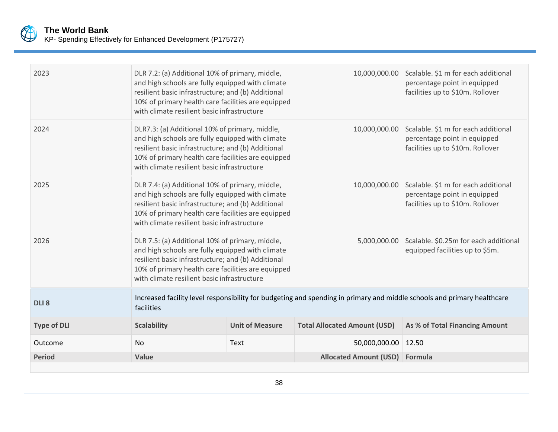

| 2023               | DLR 7.2: (a) Additional 10% of primary, middle,<br>and high schools are fully equipped with climate<br>resilient basic infrastructure; and (b) Additional<br>10% of primary health care facilities are equipped<br>with climate resilient basic infrastructure |                        |                                                                                                                         | 10,000,000.00 Scalable. \$1 m for each additional<br>percentage point in equipped<br>facilities up to \$10m. Rollover |
|--------------------|----------------------------------------------------------------------------------------------------------------------------------------------------------------------------------------------------------------------------------------------------------------|------------------------|-------------------------------------------------------------------------------------------------------------------------|-----------------------------------------------------------------------------------------------------------------------|
| 2024               | DLR7.3: (a) Additional 10% of primary, middle,<br>and high schools are fully equipped with climate<br>resilient basic infrastructure; and (b) Additional<br>10% of primary health care facilities are equipped<br>with climate resilient basic infrastructure  |                        | 10,000,000.00                                                                                                           | Scalable. \$1 m for each additional<br>percentage point in equipped<br>facilities up to \$10m. Rollover               |
| 2025               | DLR 7.4: (a) Additional 10% of primary, middle,<br>and high schools are fully equipped with climate<br>resilient basic infrastructure; and (b) Additional<br>10% of primary health care facilities are equipped<br>with climate resilient basic infrastructure |                        | 10,000,000.00                                                                                                           | Scalable. \$1 m for each additional<br>percentage point in equipped<br>facilities up to \$10m. Rollover               |
| 2026               | DLR 7.5: (a) Additional 10% of primary, middle,<br>and high schools are fully equipped with climate<br>resilient basic infrastructure; and (b) Additional<br>10% of primary health care facilities are equipped<br>with climate resilient basic infrastructure |                        |                                                                                                                         | 5,000,000.00 Scalable. \$0.25m for each additional<br>equipped facilities up to \$5m.                                 |
| DLI <sub>8</sub>   | facilities                                                                                                                                                                                                                                                     |                        | Increased facility level responsibility for budgeting and spending in primary and middle schools and primary healthcare |                                                                                                                       |
| <b>Type of DLI</b> | <b>Scalability</b>                                                                                                                                                                                                                                             | <b>Unit of Measure</b> | <b>Total Allocated Amount (USD)</b>                                                                                     | As % of Total Financing Amount                                                                                        |
| Outcome            | No                                                                                                                                                                                                                                                             | Text                   | 50,000,000.00   12.50                                                                                                   |                                                                                                                       |
| <b>Period</b>      | Value                                                                                                                                                                                                                                                          |                        | Allocated Amount (USD) Formula                                                                                          |                                                                                                                       |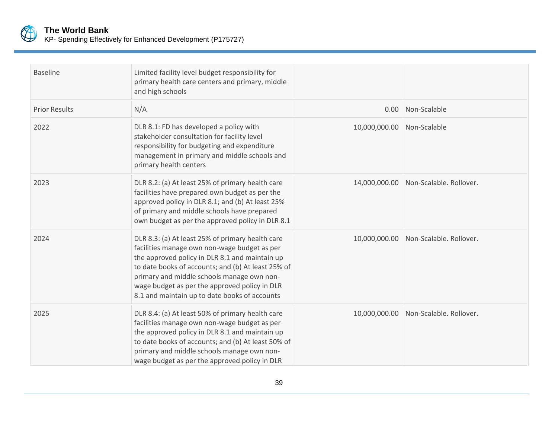

| <b>Baseline</b>      | Limited facility level budget responsibility for<br>primary health care centers and primary, middle<br>and high schools                                                                                                                                                                                                                                  |               |                                       |
|----------------------|----------------------------------------------------------------------------------------------------------------------------------------------------------------------------------------------------------------------------------------------------------------------------------------------------------------------------------------------------------|---------------|---------------------------------------|
| <b>Prior Results</b> | N/A                                                                                                                                                                                                                                                                                                                                                      | 0.00          | Non-Scalable                          |
| 2022                 | DLR 8.1: FD has developed a policy with<br>stakeholder consultation for facility level<br>responsibility for budgeting and expenditure<br>management in primary and middle schools and<br>primary health centers                                                                                                                                         | 10,000,000.00 | Non-Scalable                          |
| 2023                 | DLR 8.2: (a) At least 25% of primary health care<br>facilities have prepared own budget as per the<br>approved policy in DLR 8.1; and (b) At least 25%<br>of primary and middle schools have prepared<br>own budget as per the approved policy in DLR 8.1                                                                                                |               | 14,000,000.00 Non-Scalable. Rollover. |
| 2024                 | DLR 8.3: (a) At least 25% of primary health care<br>facilities manage own non-wage budget as per<br>the approved policy in DLR 8.1 and maintain up<br>to date books of accounts; and (b) At least 25% of<br>primary and middle schools manage own non-<br>wage budget as per the approved policy in DLR<br>8.1 and maintain up to date books of accounts |               | 10,000,000.00 Non-Scalable. Rollover. |
| 2025                 | DLR 8.4: (a) At least 50% of primary health care<br>facilities manage own non-wage budget as per<br>the approved policy in DLR 8.1 and maintain up<br>to date books of accounts; and (b) At least 50% of<br>primary and middle schools manage own non-<br>wage budget as per the approved policy in DLR                                                  |               | 10,000,000.00 Non-Scalable. Rollover. |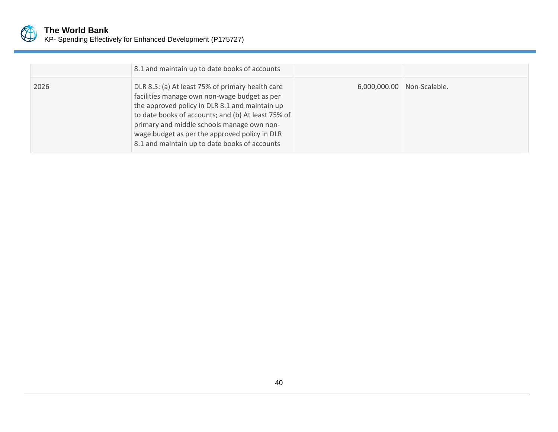

|      | 8.1 and maintain up to date books of accounts                                                                                                                                                                                                                                                                                                            |                              |
|------|----------------------------------------------------------------------------------------------------------------------------------------------------------------------------------------------------------------------------------------------------------------------------------------------------------------------------------------------------------|------------------------------|
| 2026 | DLR 8.5: (a) At least 75% of primary health care<br>facilities manage own non-wage budget as per<br>the approved policy in DLR 8.1 and maintain up<br>to date books of accounts; and (b) At least 75% of<br>primary and middle schools manage own non-<br>wage budget as per the approved policy in DLR<br>8.1 and maintain up to date books of accounts | 6,000,000.00   Non-Scalable. |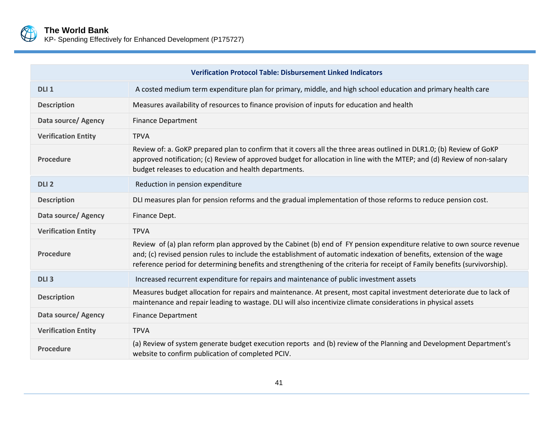

KP- Spending Effectively for Enhanced Development (P175727)

|                            | <b>Verification Protocol Table: Disbursement Linked Indicators</b>                                                                                                                                                                                                                                                                                                              |
|----------------------------|---------------------------------------------------------------------------------------------------------------------------------------------------------------------------------------------------------------------------------------------------------------------------------------------------------------------------------------------------------------------------------|
| DLI <sub>1</sub>           | A costed medium term expenditure plan for primary, middle, and high school education and primary health care                                                                                                                                                                                                                                                                    |
| <b>Description</b>         | Measures availability of resources to finance provision of inputs for education and health                                                                                                                                                                                                                                                                                      |
| Data source/ Agency        | <b>Finance Department</b>                                                                                                                                                                                                                                                                                                                                                       |
| <b>Verification Entity</b> | <b>TPVA</b>                                                                                                                                                                                                                                                                                                                                                                     |
| <b>Procedure</b>           | Review of: a. GoKP prepared plan to confirm that it covers all the three areas outlined in DLR1.0; (b) Review of GoKP<br>approved notification; (c) Review of approved budget for allocation in line with the MTEP; and (d) Review of non-salary<br>budget releases to education and health departments.                                                                        |
| DLI <sub>2</sub>           | Reduction in pension expenditure                                                                                                                                                                                                                                                                                                                                                |
| <b>Description</b>         | DLI measures plan for pension reforms and the gradual implementation of those reforms to reduce pension cost.                                                                                                                                                                                                                                                                   |
| Data source/ Agency        | Finance Dept.                                                                                                                                                                                                                                                                                                                                                                   |
| <b>Verification Entity</b> | <b>TPVA</b>                                                                                                                                                                                                                                                                                                                                                                     |
| <b>Procedure</b>           | Review of (a) plan reform plan approved by the Cabinet (b) end of FY pension expenditure relative to own source revenue<br>and; (c) revised pension rules to include the establishment of automatic indexation of benefits, extension of the wage<br>reference period for determining benefits and strengthening of the criteria for receipt of Family benefits (survivorship). |
| DLI <sub>3</sub>           | Increased recurrent expenditure for repairs and maintenance of public investment assets                                                                                                                                                                                                                                                                                         |
| <b>Description</b>         | Measures budget allocation for repairs and maintenance. At present, most capital investment deteriorate due to lack of<br>maintenance and repair leading to wastage. DLI will also incentivize climate considerations in physical assets                                                                                                                                        |
| Data source/ Agency        | <b>Finance Department</b>                                                                                                                                                                                                                                                                                                                                                       |
| <b>Verification Entity</b> | <b>TPVA</b>                                                                                                                                                                                                                                                                                                                                                                     |
| <b>Procedure</b>           | (a) Review of system generate budget execution reports and (b) review of the Planning and Development Department's<br>website to confirm publication of completed PCIV.                                                                                                                                                                                                         |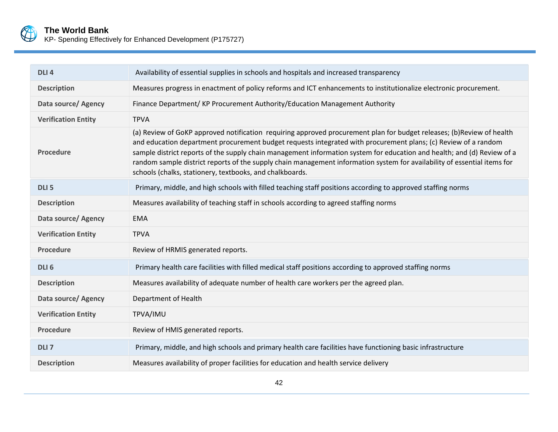

# **The World Bank**

KP- Spending Effectively for Enhanced Development (P175727)

| DLI <sub>4</sub>           | Availability of essential supplies in schools and hospitals and increased transparency                                                                                                                                                                                                                                                                                                                                                                                                                                                                     |  |
|----------------------------|------------------------------------------------------------------------------------------------------------------------------------------------------------------------------------------------------------------------------------------------------------------------------------------------------------------------------------------------------------------------------------------------------------------------------------------------------------------------------------------------------------------------------------------------------------|--|
| <b>Description</b>         | Measures progress in enactment of policy reforms and ICT enhancements to institutionalize electronic procurement.                                                                                                                                                                                                                                                                                                                                                                                                                                          |  |
| Data source/ Agency        | Finance Department/KP Procurement Authority/Education Management Authority                                                                                                                                                                                                                                                                                                                                                                                                                                                                                 |  |
| <b>Verification Entity</b> | <b>TPVA</b>                                                                                                                                                                                                                                                                                                                                                                                                                                                                                                                                                |  |
| Procedure                  | (a) Review of GoKP approved notification requiring approved procurement plan for budget releases; (b)Review of health<br>and education department procurement budget requests integrated with procurement plans; (c) Review of a random<br>sample district reports of the supply chain management information system for education and health; and (d) Review of a<br>random sample district reports of the supply chain management information system for availability of essential items for<br>schools (chalks, stationery, textbooks, and chalkboards. |  |
| DLI <sub>5</sub>           | Primary, middle, and high schools with filled teaching staff positions according to approved staffing norms                                                                                                                                                                                                                                                                                                                                                                                                                                                |  |
| <b>Description</b>         | Measures availability of teaching staff in schools according to agreed staffing norms                                                                                                                                                                                                                                                                                                                                                                                                                                                                      |  |
| Data source/ Agency        | <b>EMA</b>                                                                                                                                                                                                                                                                                                                                                                                                                                                                                                                                                 |  |
| <b>Verification Entity</b> | <b>TPVA</b>                                                                                                                                                                                                                                                                                                                                                                                                                                                                                                                                                |  |
| Procedure                  | Review of HRMIS generated reports.                                                                                                                                                                                                                                                                                                                                                                                                                                                                                                                         |  |
| DLI <sub>6</sub>           | Primary health care facilities with filled medical staff positions according to approved staffing norms                                                                                                                                                                                                                                                                                                                                                                                                                                                    |  |
| <b>Description</b>         | Measures availability of adequate number of health care workers per the agreed plan.                                                                                                                                                                                                                                                                                                                                                                                                                                                                       |  |
| Data source/ Agency        | Department of Health                                                                                                                                                                                                                                                                                                                                                                                                                                                                                                                                       |  |
| <b>Verification Entity</b> | TPVA/IMU                                                                                                                                                                                                                                                                                                                                                                                                                                                                                                                                                   |  |
| <b>Procedure</b>           | Review of HMIS generated reports.                                                                                                                                                                                                                                                                                                                                                                                                                                                                                                                          |  |
| DLI <sub>7</sub>           | Primary, middle, and high schools and primary health care facilities have functioning basic infrastructure                                                                                                                                                                                                                                                                                                                                                                                                                                                 |  |
| <b>Description</b>         | Measures availability of proper facilities for education and health service delivery                                                                                                                                                                                                                                                                                                                                                                                                                                                                       |  |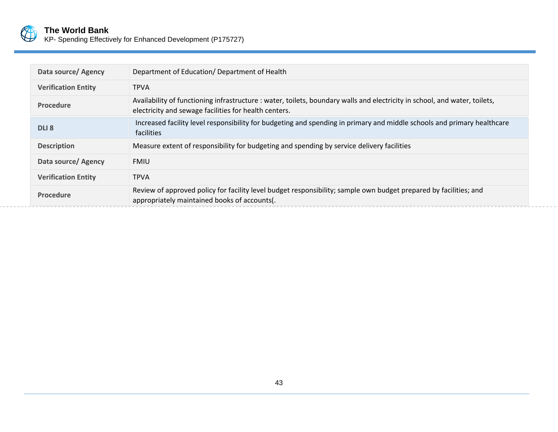

|  |  |  |  |  | KP- Spending Effectively for Enhanced Development (P175727) |  |
|--|--|--|--|--|-------------------------------------------------------------|--|
|--|--|--|--|--|-------------------------------------------------------------|--|

| Data source/ Agency        | Department of Education/Department of Health                                                                                                                                        |
|----------------------------|-------------------------------------------------------------------------------------------------------------------------------------------------------------------------------------|
| <b>Verification Entity</b> | <b>TPVA</b>                                                                                                                                                                         |
| <b>Procedure</b>           | Availability of functioning infrastructure : water, toilets, boundary walls and electricity in school, and water, toilets,<br>electricity and sewage facilities for health centers. |
| DLI <sub>8</sub>           | Increased facility level responsibility for budgeting and spending in primary and middle schools and primary healthcare<br>facilities                                               |
| <b>Description</b>         | Measure extent of responsibility for budgeting and spending by service delivery facilities                                                                                          |
| Data source/ Agency        | <b>FMIU</b>                                                                                                                                                                         |
| <b>Verification Entity</b> | <b>TPVA</b>                                                                                                                                                                         |
| <b>Procedure</b>           | Review of approved policy for facility level budget responsibility; sample own budget prepared by facilities; and<br>appropriately maintained books of accounts(.                   |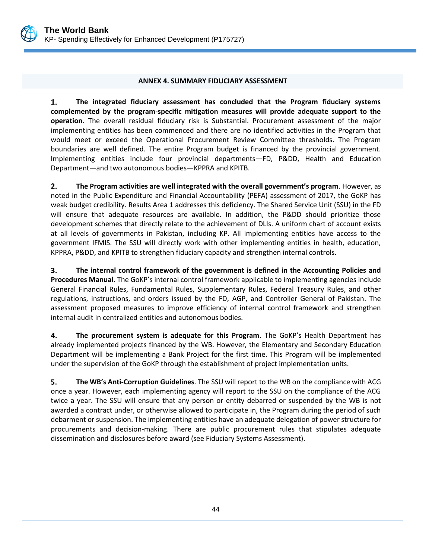

#### **ANNEX 4. SUMMARY FIDUCIARY ASSESSMENT**

<span id="page-52-0"></span> $1.$ **The integrated fiduciary assessment has concluded that the Program fiduciary systems complemented by the program-specific mitigation measures will provide adequate support to the operation**. The overall residual fiduciary risk is Substantial. Procurement assessment of the major implementing entities has been commenced and there are no identified activities in the Program that would meet or exceed the Operational Procurement Review Committee thresholds. The Program boundaries are well defined. The entire Program budget is financed by the provincial government. Implementing entities include four provincial departments—FD, P&DD, Health and Education Department—and two autonomous bodies—KPPRA and KPITB.

 $2.$ **The Program activities are well integrated with the overall government's program**. However, as noted in the Public Expenditure and Financial Accountability (PEFA) assessment of 2017, the GoKP has weak budget credibility. Results Area 1 addresses this deficiency. The Shared Service Unit (SSU) in the FD will ensure that adequate resources are available. In addition, the P&DD should prioritize those development schemes that directly relate to the achievement of DLIs. A uniform chart of account exists at all levels of governments in Pakistan, including KP. All implementing entities have access to the government IFMIS. The SSU will directly work with other implementing entities in health, education, KPPRA, P&DD, and KPITB to strengthen fiduciary capacity and strengthen internal controls.

3. **The internal control framework of the government is defined in the Accounting Policies and Procedures Manual**. The GoKP's internal control framework applicable to implementing agencies include General Financial Rules, Fundamental Rules, Supplementary Rules, Federal Treasury Rules, and other regulations, instructions, and orders issued by the FD, AGP, and Controller General of Pakistan. The assessment proposed measures to improve efficiency of internal control framework and strengthen internal audit in centralized entities and autonomous bodies.

4. The procurement system is adequate for this Program. The GoKP's Health Department has already implemented projects financed by the WB. However, the Elementary and Secondary Education Department will be implementing a Bank Project for the first time. This Program will be implemented under the supervision of the GoKP through the establishment of project implementation units.

**The WB's Anti-Corruption Guidelines**. The SSU will report to the WB on the compliance with ACG 5. once a year. However, each implementing agency will report to the SSU on the compliance of the ACG twice a year. The SSU will ensure that any person or entity debarred or suspended by the WB is not awarded a contract under, or otherwise allowed to participate in, the Program during the period of such debarment or suspension. The implementing entities have an adequate delegation of power structure for procurements and decision-making. There are public procurement rules that stipulates adequate dissemination and disclosures before award (see Fiduciary Systems Assessment).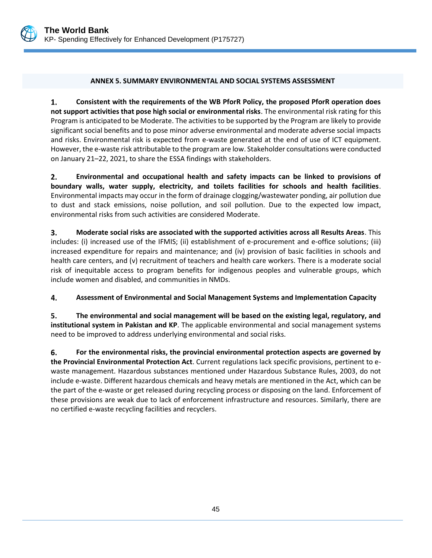

#### <span id="page-53-0"></span>**ANNEX 5. SUMMARY ENVIRONMENTAL AND SOCIAL SYSTEMS ASSESSMENT**

 $1.$ **Consistent with the requirements of the WB PforR Policy, the proposed PforR operation does not support activities that pose high social or environmental risks**. The environmental risk rating for this Program is anticipated to be Moderate. The activities to be supported by the Program are likely to provide significant social benefits and to pose minor adverse environmental and moderate adverse social impacts and risks. Environmental risk is expected from e-waste generated at the end of use of ICT equipment. However, the e-waste risk attributable to the program are low. Stakeholder consultations were conducted on January 21–22, 2021, to share the ESSA findings with stakeholders.

 $2.$ **Environmental and occupational health and safety impacts can be linked to provisions of boundary walls, water supply, electricity, and toilets facilities for schools and health facilities**. Environmental impacts may occur in the form of drainage clogging/wastewater ponding, air pollution due to dust and stack emissions, noise pollution, and soil pollution. Due to the expected low impact, environmental risks from such activities are considered Moderate.

3. **Moderate social risks are associated with the supported activities across all Results Areas**. This includes: (i) increased use of the IFMIS; (ii) establishment of e-procurement and e-office solutions; (iii) increased expenditure for repairs and maintenance; and (iv) provision of basic facilities in schools and health care centers, and (v) recruitment of teachers and health care workers. There is a moderate social risk of inequitable access to program benefits for indigenous peoples and vulnerable groups, which include women and disabled, and communities in NMDs.

4. **Assessment of Environmental and Social Management Systems and Implementation Capacity** 

5. **The environmental and social management will be based on the existing legal, regulatory, and institutional system in Pakistan and KP**. The applicable environmental and social management systems need to be improved to address underlying environmental and social risks.

6. **For the environmental risks, the provincial environmental protection aspects are governed by the Provincial Environmental Protection Act**. Current regulations lack specific provisions, pertinent to ewaste management. Hazardous substances mentioned under Hazardous Substance Rules, 2003, do not include e-waste. Different hazardous chemicals and heavy metals are mentioned in the Act, which can be the part of the e-waste or get released during recycling process or disposing on the land. Enforcement of these provisions are weak due to lack of enforcement infrastructure and resources. Similarly, there are no certified e-waste recycling facilities and recyclers.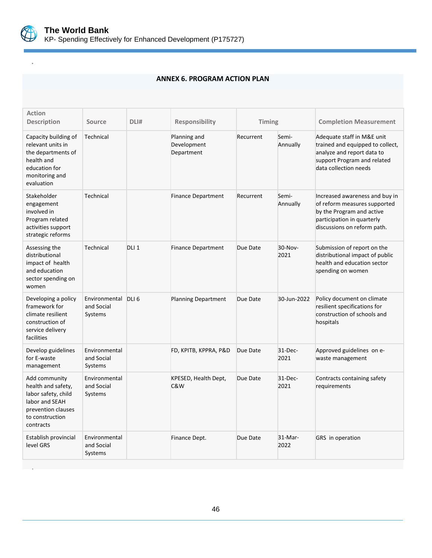

<span id="page-54-0"></span>**.**

.

#### **ANNEX 6. PROGRAM ACTION PLAN**

| <b>Action</b><br><b>Description</b>                                                                                                | Source                                       | DLI#             | <b>Responsibility</b>                     | Timing    |                   | <b>Completion Measurement</b>                                                                                                                            |  |
|------------------------------------------------------------------------------------------------------------------------------------|----------------------------------------------|------------------|-------------------------------------------|-----------|-------------------|----------------------------------------------------------------------------------------------------------------------------------------------------------|--|
| Capacity building of<br>relevant units in<br>the departments of<br>health and<br>education for<br>monitoring and<br>evaluation     | Technical                                    |                  | Planning and<br>Development<br>Department | Recurrent | Semi-<br>Annually | Adequate staff in M&E unit<br>trained and equipped to collect,<br>analyze and report data to<br>support Program and related<br>data collection needs     |  |
| Stakeholder<br>engagement<br>involved in<br>Program related<br>activities support<br>strategic reforms                             | Technical                                    |                  | <b>Finance Department</b>                 | Recurrent | Semi-<br>Annually | Increased awareness and buy in<br>of reform measures supported<br>by the Program and active<br>participation in quarterly<br>discussions on reform path. |  |
| Assessing the<br>distributional<br>impact of health<br>and education<br>sector spending on<br>women                                | Technical                                    | DLI <sub>1</sub> | <b>Finance Department</b>                 | Due Date  | 30-Nov-<br>2021   | Submission of report on the<br>distributional impact of public<br>health and education sector<br>spending on women                                       |  |
| Developing a policy<br>framework for<br>climate resilient<br>construction of<br>service delivery<br>facilities                     | Environmental DLI 6<br>and Social<br>Systems |                  | <b>Planning Department</b>                | Due Date  | 30-Jun-2022       | Policy document on climate<br>resilient specifications for<br>construction of schools and<br>hospitals                                                   |  |
| Develop guidelines<br>for E-waste<br>management                                                                                    | Environmental<br>and Social<br>Systems       |                  | FD, KPITB, KPPRA, P&D                     | Due Date  | 31-Dec-<br>2021   | Approved guidelines on e-<br>waste management                                                                                                            |  |
| Add community<br>health and safety,<br>labor safety, child<br>labor and SEAH<br>prevention clauses<br>to construction<br>contracts | Environmental<br>and Social<br>Systems       |                  | KPESED, Health Dept,<br>C&W               | Due Date  | $31-Dec-$<br>2021 | Contracts containing safety<br>requirements                                                                                                              |  |
| Establish provincial<br>level GRS                                                                                                  | Environmental<br>and Social<br>Systems       |                  | Finance Dept.                             | Due Date  | $31-Mar-$<br>2022 | GRS in operation                                                                                                                                         |  |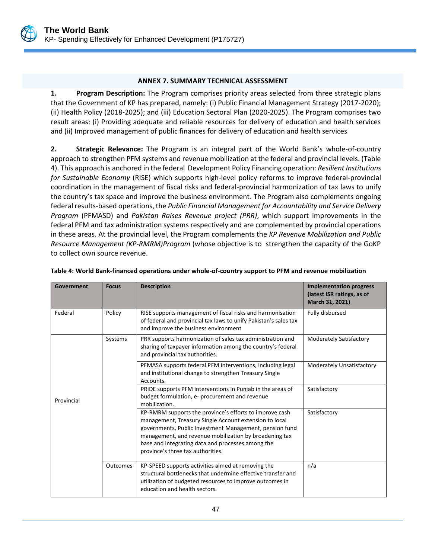

#### **ANNEX 7. SUMMARY TECHNICAL ASSESSMENT**

<span id="page-55-0"></span>**1. Program Description:** The Program comprises priority areas selected from three strategic plans that the Government of KP has prepared, namely: (i) Public Financial Management Strategy (2017-2020); (ii) Health Policy (2018-2025); and (iii) Education Sectoral Plan (2020-2025). The Program comprises two result areas: (i) Providing adequate and reliable resources for delivery of education and health services and (ii) Improved management of public finances for delivery of education and health services

**2. Strategic Relevance:** The Program is an integral part of the World Bank's whole-of-country approach to strengthen PFM systems and revenue mobilization at the federal and provincial levels. (Table 4). This approach is anchored in the federal Development Policy Financing operation: *Resilient Institutions for Sustainable Economy* (RISE) which supports high-level policy reforms to improve federal-provincial coordination in the management of fiscal risks and federal-provincial harmonization of tax laws to unify the country's tax space and improve the business environment. The Program also complements ongoing federal results-based operations, the *Public Financial Management for Accountability and Service Delivery Program* (PFMASD) and *Pakistan Raises Revenue project (PRR)*, which support improvements in the federal PFM and tax administration systems respectively and are complemented by provincial operations in these areas. At the provincial level, the Program complements the *KP Revenue Mobilization and Public Resource Management (KP-RMRM)Program* (whose objective is to strengthen the capacity of the GoKP to collect own source revenue.

| Government | <b>Focus</b> | <b>Description</b>                                                                                                                                                                                                                                                                                                               | <b>Implementation progress</b><br>(latest ISR ratings, as of<br>March 31, 2021) |
|------------|--------------|----------------------------------------------------------------------------------------------------------------------------------------------------------------------------------------------------------------------------------------------------------------------------------------------------------------------------------|---------------------------------------------------------------------------------|
| Federal    | Policy       | RISE supports management of fiscal risks and harmonisation<br>of federal and provincial tax laws to unify Pakistan's sales tax<br>and improve the business environment                                                                                                                                                           | Fully disbursed                                                                 |
|            | Systems      | PRR supports harmonization of sales tax administration and<br>sharing of taxpayer information among the country's federal<br>and provincial tax authorities.                                                                                                                                                                     | <b>Moderately Satisfactory</b>                                                  |
| Provincial |              | PFMASA supports federal PFM interventions, including legal<br>and institutional change to strengthen Treasury Single<br>Accounts.                                                                                                                                                                                                | Moderately Unsatisfactory                                                       |
|            |              | PRIDE supports PFM interventions in Punjab in the areas of<br>budget formulation, e- procurement and revenue<br>mobilization.                                                                                                                                                                                                    | Satisfactory                                                                    |
|            |              | KP-RMRM supports the province's efforts to improve cash<br>management, Treasury Single Account extension to local<br>governments, Public Investment Management, pension fund<br>management, and revenue mobilization by broadening tax<br>base and integrating data and processes among the<br>province's three tax authorities. | Satisfactory                                                                    |
| Outcomes   |              | KP-SPEED supports activities aimed at removing the<br>structural bottlenecks that undermine effective transfer and<br>utilization of budgeted resources to improve outcomes in<br>education and health sectors.                                                                                                                  | n/a                                                                             |

#### **Table 4: World Bank-financed operations under whole-of-country support to PFM and revenue mobilization**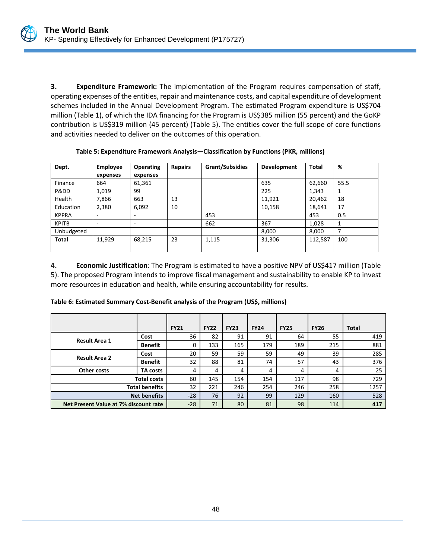

**3. Expenditure Framework:** The implementation of the Program requires compensation of staff, operating expenses of the entities, repair and maintenance costs, and capital expenditure of development schemes included in the Annual Development Program. The estimated Program expenditure is US\$704 million (Table 1), of which the IDA financing for the Program is US\$385 million (55 percent) and the GoKP contribution is US\$319 million (45 percent) (Table 5). The entities cover the full scope of core functions and activities needed to deliver on the outcomes of this operation.

| Dept.        | <b>Employee</b> | <b>Operating</b> | <b>Repairs</b> | Grant/Subsidies | Development | <b>Total</b> | %    |
|--------------|-----------------|------------------|----------------|-----------------|-------------|--------------|------|
|              | expenses        | expenses         |                |                 |             |              |      |
| Finance      | 664             | 61,361           |                |                 | 635         | 62,660       | 55.5 |
| Pⅅ           | 1,019           | 99               |                |                 | 225         | 1,343        | 1    |
| Health       | 7,866           | 663              | 13             |                 | 11,921      | 20,462       | 18   |
| Education    | 2,380           | 6,092            | 10             |                 | 10,158      | 18,641       | 17   |
| <b>KPPRA</b> | ۰               | ۰                |                | 453             |             | 453          | 0.5  |
| <b>KPITB</b> | -               | -                |                | 662             | 367         | 1,028        | 1    |
| Unbudgeted   |                 |                  |                |                 | 8,000       | 8,000        | 7    |
| <b>Total</b> | 11,929          | 68,215           | 23             | 1,115           | 31,306      | 112,587      | 100  |
|              |                 |                  |                |                 |             |              |      |

**Table 5: Expenditure Framework Analysis—Classification by Functions (PKR, millions)**

**4. Economic Justification**: The Program is estimated to have a positive NPV of US\$417 million (Table 5). The proposed Program intends to improve fiscal management and sustainability to enable KP to invest more resources in education and health, while ensuring accountability for results.

**Table 6: Estimated Summary Cost-Benefit analysis of the Program (US\$, millions)**

|                                       |                | <b>FY21</b> | <b>FY22</b> | <b>FY23</b> | <b>FY24</b> | <b>FY25</b> | <b>FY26</b> | <b>Total</b> |
|---------------------------------------|----------------|-------------|-------------|-------------|-------------|-------------|-------------|--------------|
| <b>Result Area 1</b>                  | Cost           | 36          | 82          | 91          | 91          | 64          | 55          | 419          |
|                                       | <b>Benefit</b> | 0           | 133         | 165         | 179         | 189         | 215         | 881          |
| <b>Result Area 2</b>                  | Cost           | 20          | 59          | 59          | 59          | 49          | 39          | 285          |
|                                       | <b>Benefit</b> | 32          | 88          | 81          | 74          | 57          | 43          | 376          |
| Other costs                           | TA costs       | 4           | 4           | 4           | 4           | 4           | 4           | 25           |
| <b>Total costs</b>                    |                | 60          | 145         | 154         | 154         | 117         | 98          | 729          |
| <b>Total benefits</b>                 |                | 32          | 221         | 246         | 254         | 246         | 258         | 1257         |
| <b>Net benefits</b>                   |                | $-28$       | 76          | 92          | 99          | 129         | 160         | 528          |
| Net Present Value at 7% discount rate |                | $-28$       | 71          | 80          | 81          | 98          | 114         | 417          |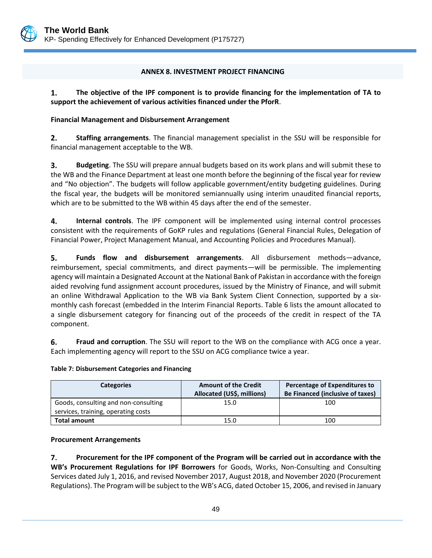

#### **ANNEX 8. INVESTMENT PROJECT FINANCING**

<span id="page-57-0"></span>1. **The objective of the IPF component is to provide financing for the implementation of TA to support the achievement of various activities financed under the PforR**.

#### **Financial Management and Disbursement Arrangement**

 $2.$ **Staffing arrangements**. The financial management specialist in the SSU will be responsible for financial management acceptable to the WB.

3. **Budgeting**. The SSU will prepare annual budgets based on its work plans and will submit these to the WB and the Finance Department at least one month before the beginning of the fiscal year for review and "No objection". The budgets will follow applicable government/entity budgeting guidelines. During the fiscal year, the budgets will be monitored semiannually using interim unaudited financial reports, which are to be submitted to the WB within 45 days after the end of the semester.

4. **Internal controls**. The IPF component will be implemented using internal control processes consistent with the requirements of GoKP rules and regulations (General Financial Rules, Delegation of Financial Power, Project Management Manual, and Accounting Policies and Procedures Manual).

5. **Funds flow and disbursement arrangements**. All disbursement methods—advance, reimbursement, special commitments, and direct payments—will be permissible. The implementing agency will maintain a Designated Account at the National Bank of Pakistan in accordance with the foreign aided revolving fund assignment account procedures, issued by the Ministry of Finance, and will submit an online Withdrawal Application to the WB via Bank System Client Connection, supported by a sixmonthly cash forecast (embedded in the Interim Financial Reports. Table 6 lists the amount allocated to a single disbursement category for financing out of the proceeds of the credit in respect of the TA component.

6. **Fraud and corruption**. The SSU will report to the WB on the compliance with ACG once a year. Each implementing agency will report to the SSU on ACG compliance twice a year.

#### **Table 7: Disbursement Categories and Financing**

| <b>Categories</b>                    | <b>Amount of the Credit</b><br>Allocated (US\$, millions) | Percentage of Expenditures to<br>Be Financed (inclusive of taxes) |  |  |
|--------------------------------------|-----------------------------------------------------------|-------------------------------------------------------------------|--|--|
| Goods, consulting and non-consulting | 15.0                                                      | 100                                                               |  |  |
| services, training, operating costs  |                                                           |                                                                   |  |  |
| <b>Total amount</b>                  | 15.0                                                      | 100                                                               |  |  |

#### **Procurement Arrangements**

**Procurement for the IPF component of the Program will be carried out in accordance with the**  7. **WB's Procurement Regulations for IPF Borrowers** for Goods, Works, Non-Consulting and Consulting Services dated July 1, 2016, and revised November 2017, August 2018, and November 2020 (Procurement Regulations). The Program will be subject to the WB's ACG, dated October 15, 2006, and revised in January